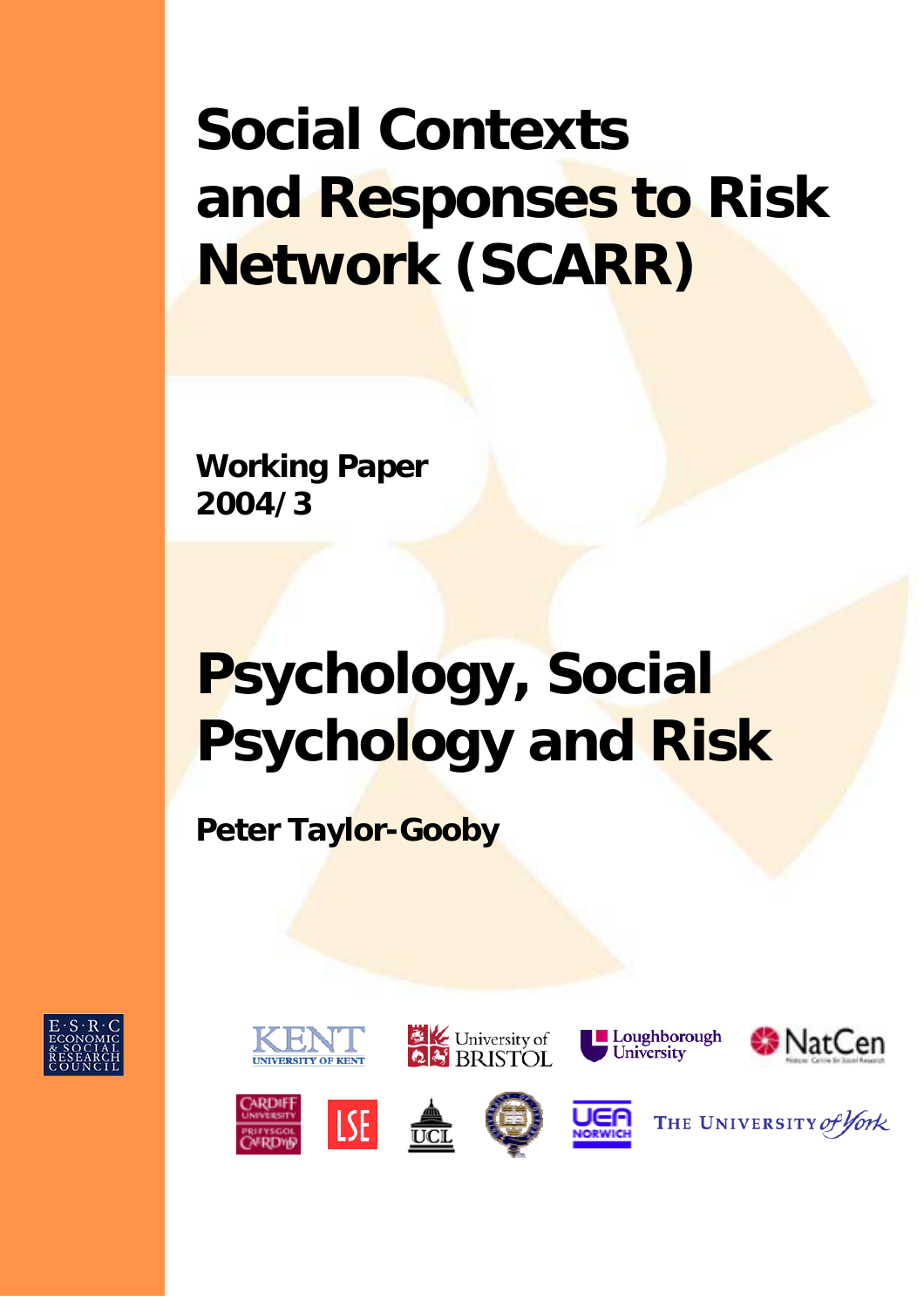**Social Contexts and Responses to Risk Network (SCARR)**

**Working Paper 2004/3** 

# **Psychology, Social Psychology and Risk**

**Peter Taylor-Gooby** 



















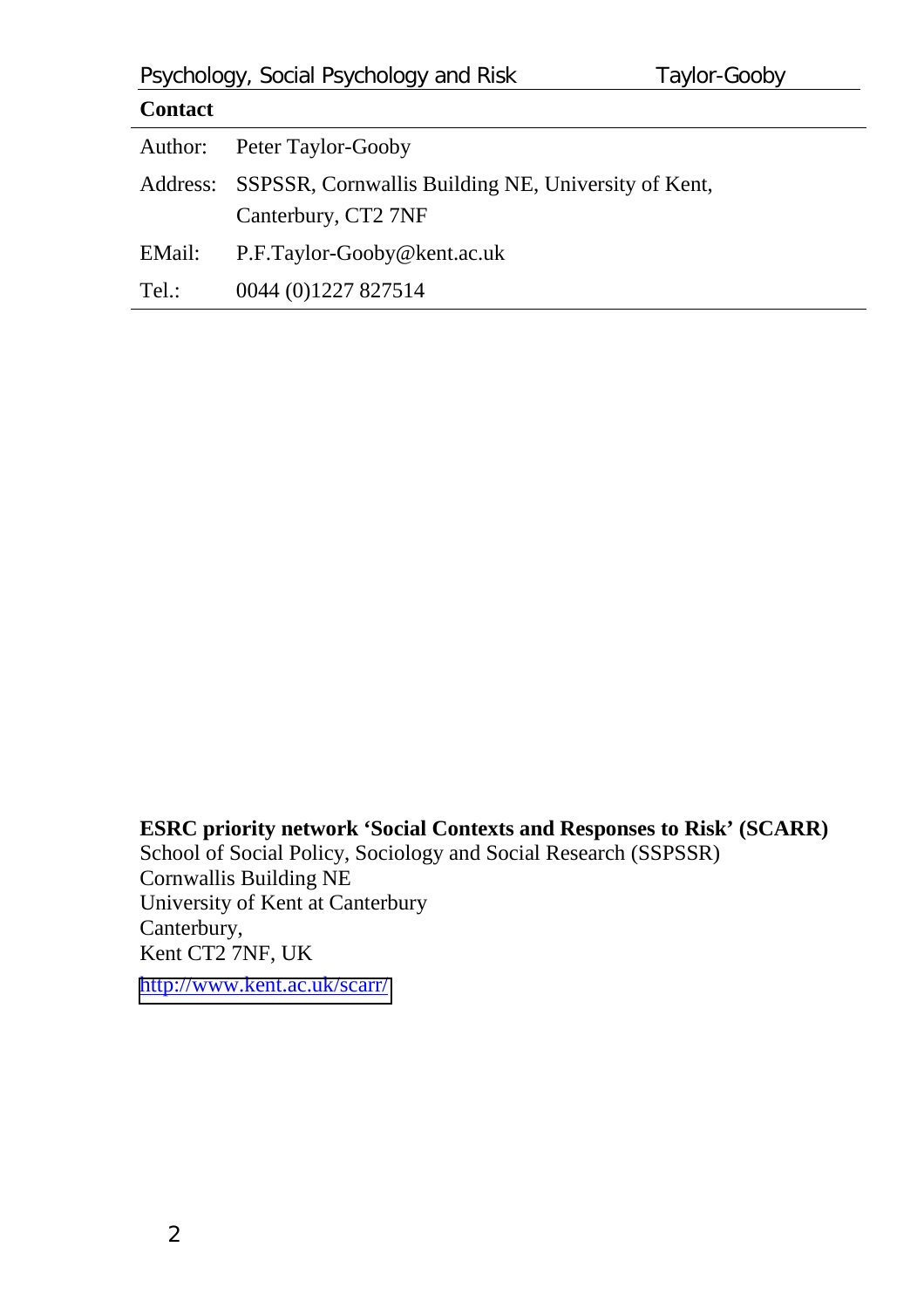| <b>Contact</b> |                                                                                     |
|----------------|-------------------------------------------------------------------------------------|
|                | Author: Peter Taylor-Gooby                                                          |
|                | Address: SSPSSR, Cornwallis Building NE, University of Kent,<br>Canterbury, CT2 7NF |
| EMail:         | P.F.Taylor-Gooby@kent.ac.uk                                                         |
| Tel.:          | 0044 (0)1227 827514                                                                 |

**ESRC priority network 'Social Contexts and Responses to Risk' (SCARR)**  School of Social Policy, Sociology and Social Research (SSPSSR) Cornwallis Building NE University of Kent at Canterbury Canterbury, Kent CT2 7NF, UK <http://www.kent.ac.uk/scarr/>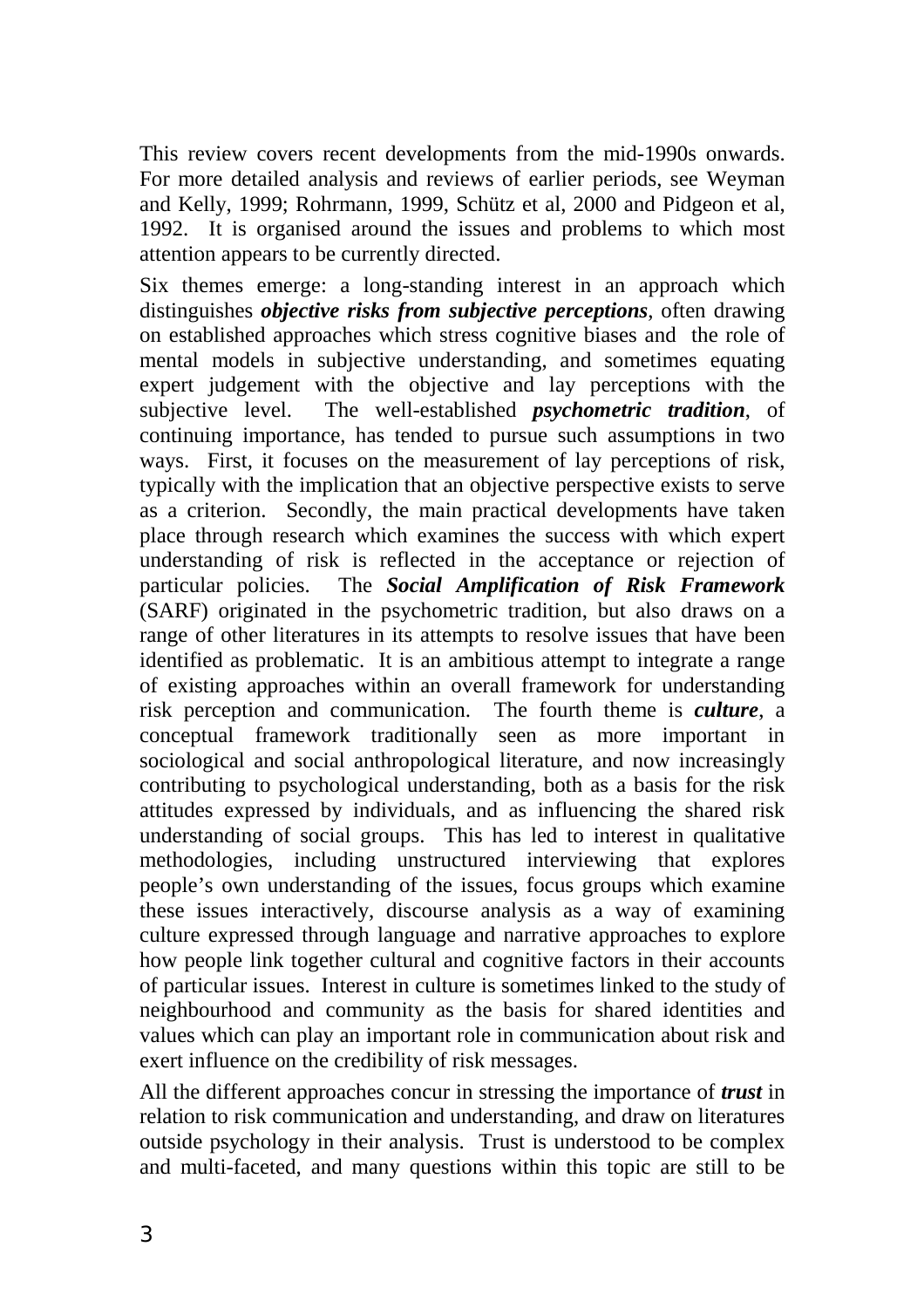This review covers recent developments from the mid-1990s onwards. For more detailed analysis and reviews of earlier periods, see Weyman and Kelly, 1999; Rohrmann, 1999, Schütz et al, 2000 and Pidgeon et al, 1992. It is organised around the issues and problems to which most attention appears to be currently directed.

Six themes emerge: a long-standing interest in an approach which distinguishes *objective risks from subjective perceptions*, often drawing on established approaches which stress cognitive biases and the role of mental models in subjective understanding, and sometimes equating expert judgement with the objective and lay perceptions with the subjective level. The well-established *psychometric tradition*, of continuing importance, has tended to pursue such assumptions in two ways. First, it focuses on the measurement of lay perceptions of risk, typically with the implication that an objective perspective exists to serve as a criterion. Secondly, the main practical developments have taken place through research which examines the success with which expert understanding of risk is reflected in the acceptance or rejection of particular policies. The *Social Amplification of Risk Framework* (SARF) originated in the psychometric tradition, but also draws on a range of other literatures in its attempts to resolve issues that have been identified as problematic. It is an ambitious attempt to integrate a range of existing approaches within an overall framework for understanding risk perception and communication. The fourth theme is *culture*, a conceptual framework traditionally seen as more important in sociological and social anthropological literature, and now increasingly contributing to psychological understanding, both as a basis for the risk attitudes expressed by individuals, and as influencing the shared risk understanding of social groups. This has led to interest in qualitative methodologies, including unstructured interviewing that explores people's own understanding of the issues, focus groups which examine these issues interactively, discourse analysis as a way of examining culture expressed through language and narrative approaches to explore how people link together cultural and cognitive factors in their accounts of particular issues. Interest in culture is sometimes linked to the study of neighbourhood and community as the basis for shared identities and values which can play an important role in communication about risk and exert influence on the credibility of risk messages.

All the different approaches concur in stressing the importance of *trust* in relation to risk communication and understanding, and draw on literatures outside psychology in their analysis. Trust is understood to be complex and multi-faceted, and many questions within this topic are still to be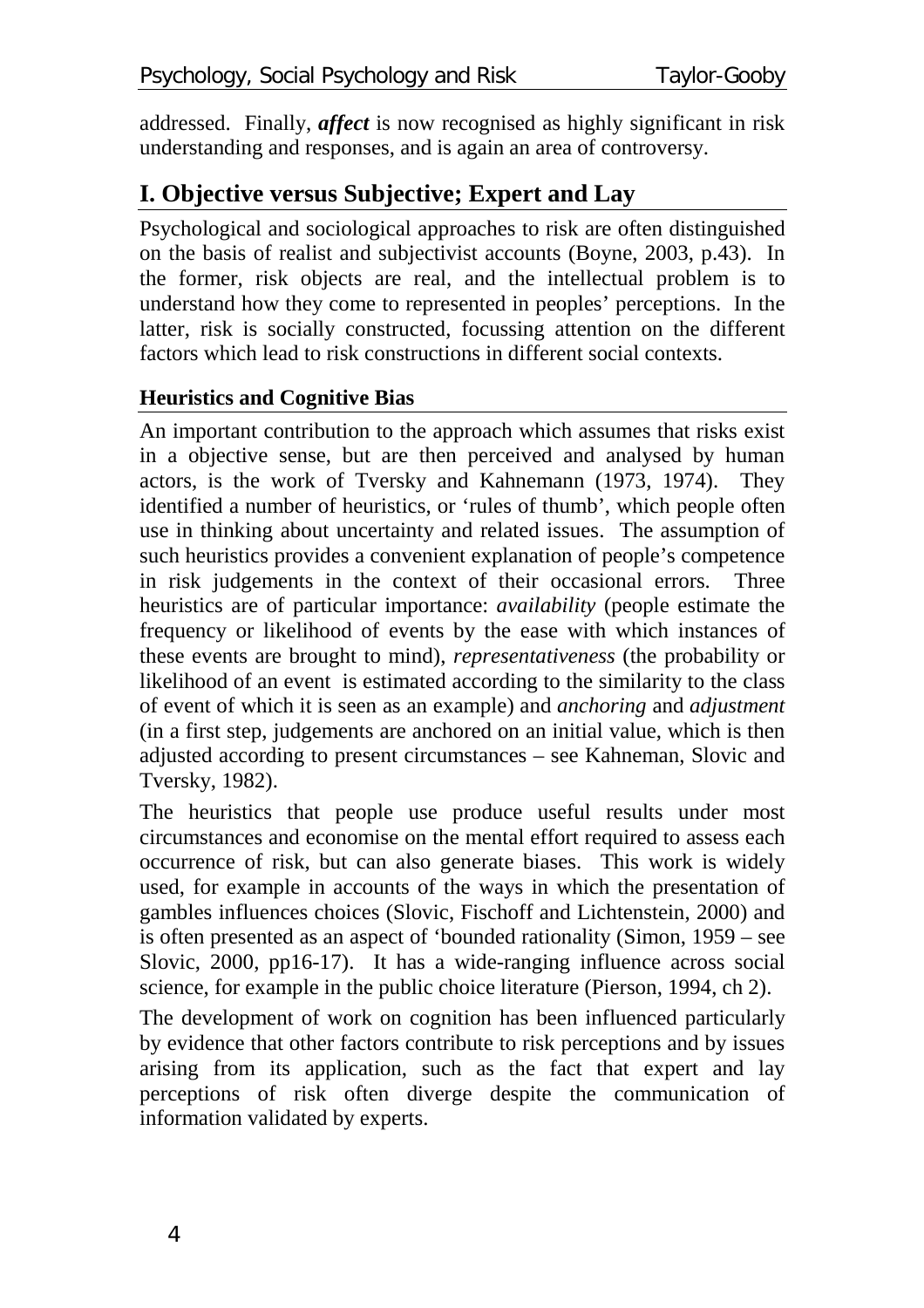addressed. Finally, *affect* is now recognised as highly significant in risk understanding and responses, and is again an area of controversy.

## **I. Objective versus Subjective; Expert and Lay**

Psychological and sociological approaches to risk are often distinguished on the basis of realist and subjectivist accounts (Boyne, 2003, p.43). In the former, risk objects are real, and the intellectual problem is to understand how they come to represented in peoples' perceptions. In the latter, risk is socially constructed, focussing attention on the different factors which lead to risk constructions in different social contexts.

## **Heuristics and Cognitive Bias**

An important contribution to the approach which assumes that risks exist in a objective sense, but are then perceived and analysed by human actors, is the work of Tversky and Kahnemann (1973, 1974). They identified a number of heuristics, or 'rules of thumb', which people often use in thinking about uncertainty and related issues. The assumption of such heuristics provides a convenient explanation of people's competence in risk judgements in the context of their occasional errors. Three heuristics are of particular importance: *availability* (people estimate the frequency or likelihood of events by the ease with which instances of these events are brought to mind), *representativeness* (the probability or likelihood of an event is estimated according to the similarity to the class of event of which it is seen as an example) and *anchoring* and *adjustment* (in a first step, judgements are anchored on an initial value, which is then adjusted according to present circumstances – see Kahneman, Slovic and Tversky, 1982).

The heuristics that people use produce useful results under most circumstances and economise on the mental effort required to assess each occurrence of risk, but can also generate biases. This work is widely used, for example in accounts of the ways in which the presentation of gambles influences choices (Slovic, Fischoff and Lichtenstein, 2000) and is often presented as an aspect of 'bounded rationality (Simon, 1959 – see Slovic, 2000, pp16-17). It has a wide-ranging influence across social science, for example in the public choice literature (Pierson, 1994, ch 2).

The development of work on cognition has been influenced particularly by evidence that other factors contribute to risk perceptions and by issues arising from its application, such as the fact that expert and lay perceptions of risk often diverge despite the communication of information validated by experts.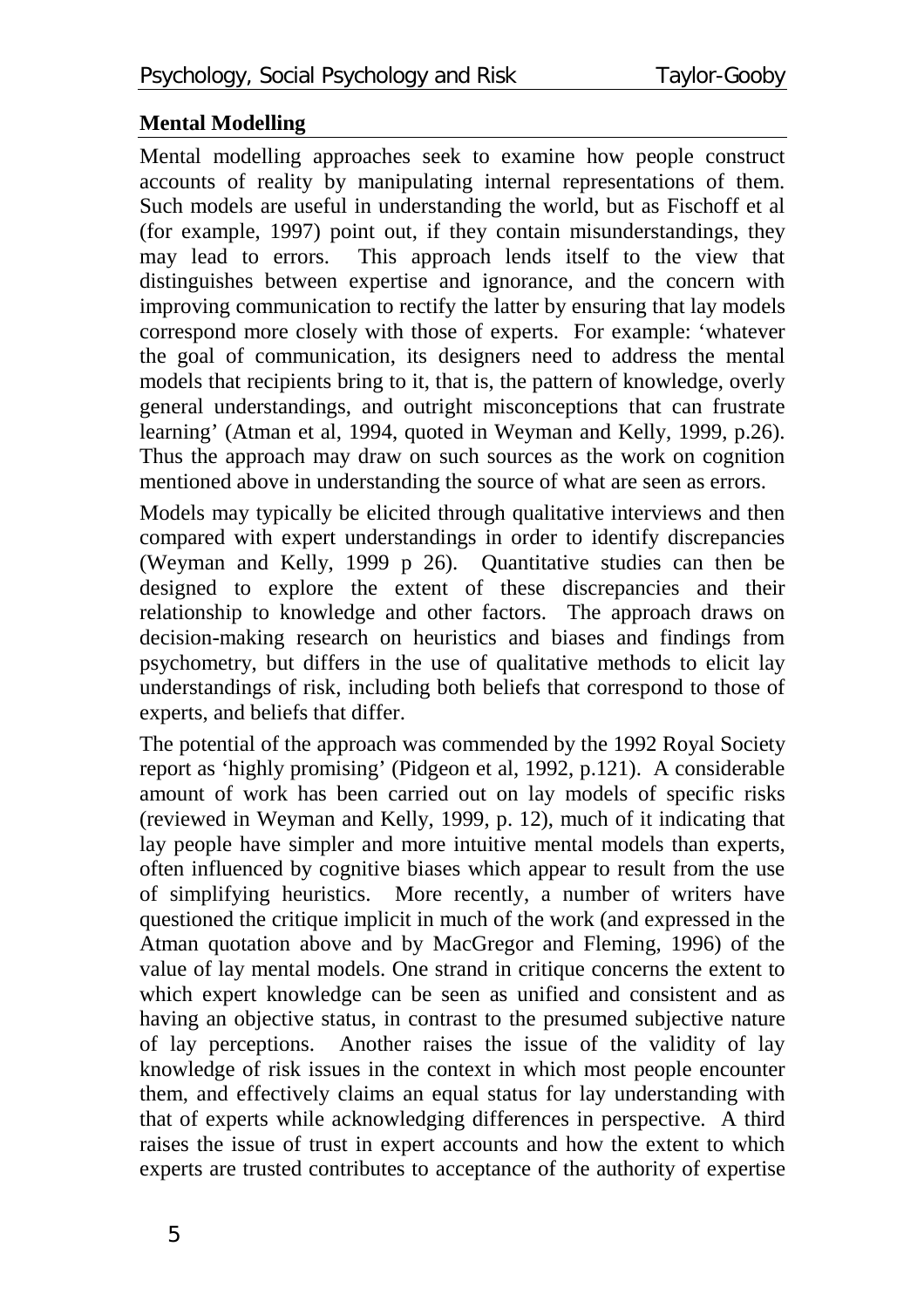## **Mental Modelling**

Mental modelling approaches seek to examine how people construct accounts of reality by manipulating internal representations of them. Such models are useful in understanding the world, but as Fischoff et al (for example, 1997) point out, if they contain misunderstandings, they may lead to errors. This approach lends itself to the view that distinguishes between expertise and ignorance, and the concern with improving communication to rectify the latter by ensuring that lay models correspond more closely with those of experts. For example: 'whatever the goal of communication, its designers need to address the mental models that recipients bring to it, that is, the pattern of knowledge, overly general understandings, and outright misconceptions that can frustrate learning' (Atman et al, 1994, quoted in Weyman and Kelly, 1999, p.26). Thus the approach may draw on such sources as the work on cognition mentioned above in understanding the source of what are seen as errors.

Models may typically be elicited through qualitative interviews and then compared with expert understandings in order to identify discrepancies (Weyman and Kelly, 1999 p 26). Quantitative studies can then be designed to explore the extent of these discrepancies and their relationship to knowledge and other factors. The approach draws on decision-making research on heuristics and biases and findings from psychometry, but differs in the use of qualitative methods to elicit lay understandings of risk, including both beliefs that correspond to those of experts, and beliefs that differ.

The potential of the approach was commended by the 1992 Royal Society report as 'highly promising' (Pidgeon et al, 1992, p.121). A considerable amount of work has been carried out on lay models of specific risks (reviewed in Weyman and Kelly, 1999, p. 12), much of it indicating that lay people have simpler and more intuitive mental models than experts, often influenced by cognitive biases which appear to result from the use of simplifying heuristics. More recently, a number of writers have questioned the critique implicit in much of the work (and expressed in the Atman quotation above and by MacGregor and Fleming, 1996) of the value of lay mental models. One strand in critique concerns the extent to which expert knowledge can be seen as unified and consistent and as having an objective status, in contrast to the presumed subjective nature of lay perceptions. Another raises the issue of the validity of lay knowledge of risk issues in the context in which most people encounter them, and effectively claims an equal status for lay understanding with that of experts while acknowledging differences in perspective. A third raises the issue of trust in expert accounts and how the extent to which experts are trusted contributes to acceptance of the authority of expertise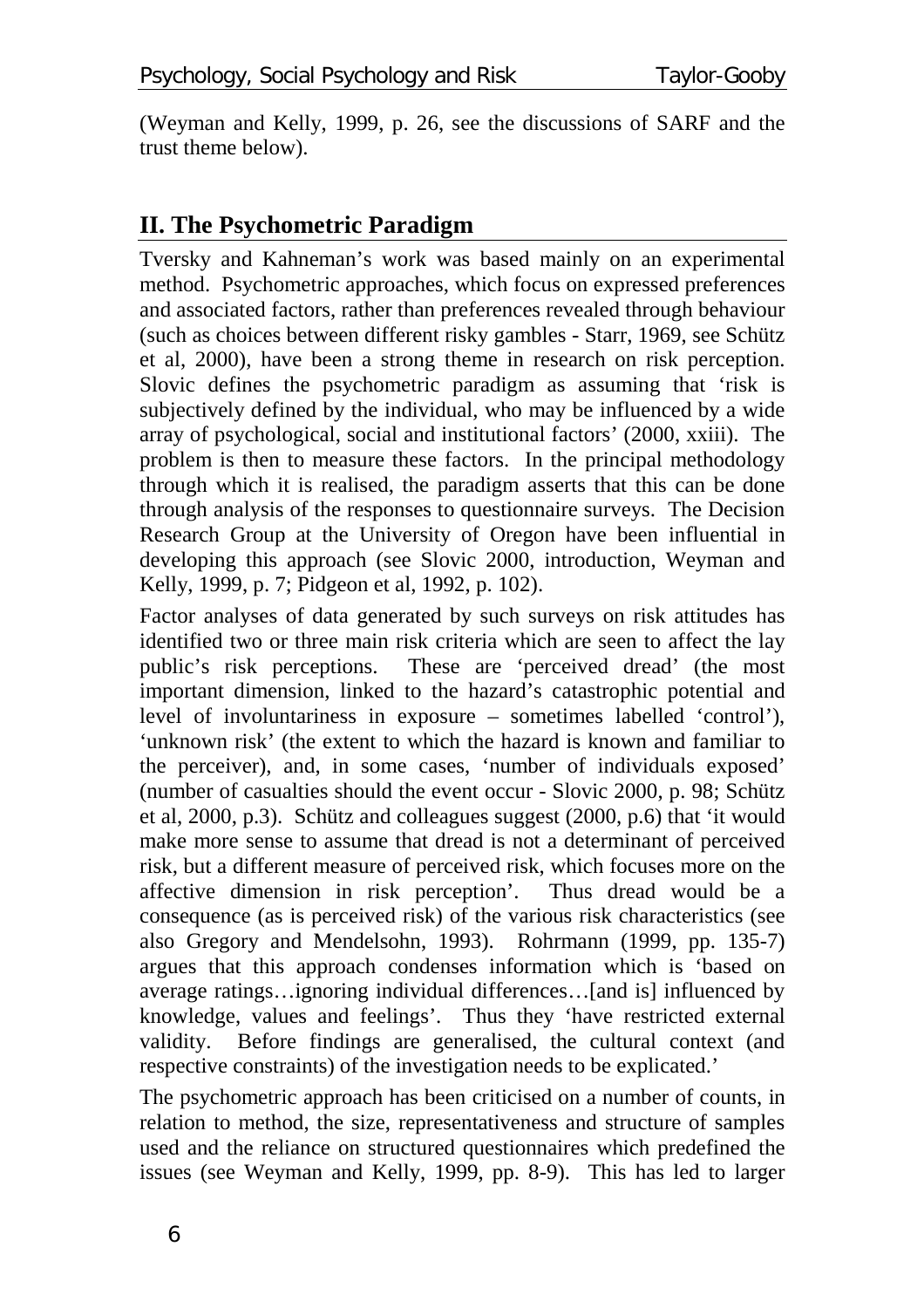(Weyman and Kelly, 1999, p. 26, see the discussions of SARF and the trust theme below).

## **II. The Psychometric Paradigm**

Tversky and Kahneman's work was based mainly on an experimental method. Psychometric approaches, which focus on expressed preferences and associated factors, rather than preferences revealed through behaviour (such as choices between different risky gambles - Starr, 1969, see Schütz et al, 2000), have been a strong theme in research on risk perception. Slovic defines the psychometric paradigm as assuming that 'risk is subjectively defined by the individual, who may be influenced by a wide array of psychological, social and institutional factors' (2000, xxiii). The problem is then to measure these factors. In the principal methodology through which it is realised, the paradigm asserts that this can be done through analysis of the responses to questionnaire surveys. The Decision Research Group at the University of Oregon have been influential in developing this approach (see Slovic 2000, introduction, Weyman and Kelly, 1999, p. 7; Pidgeon et al, 1992, p. 102).

Factor analyses of data generated by such surveys on risk attitudes has identified two or three main risk criteria which are seen to affect the lay public's risk perceptions. These are 'perceived dread' (the most important dimension, linked to the hazard's catastrophic potential and level of involuntariness in exposure – sometimes labelled 'control'), 'unknown risk' (the extent to which the hazard is known and familiar to the perceiver), and, in some cases, 'number of individuals exposed' (number of casualties should the event occur - Slovic 2000, p. 98; Schütz et al, 2000, p.3). Schütz and colleagues suggest (2000, p.6) that 'it would make more sense to assume that dread is not a determinant of perceived risk, but a different measure of perceived risk, which focuses more on the affective dimension in risk perception'. Thus dread would be a consequence (as is perceived risk) of the various risk characteristics (see also Gregory and Mendelsohn, 1993). Rohrmann (1999, pp. 135-7) argues that this approach condenses information which is 'based on average ratings…ignoring individual differences…[and is] influenced by knowledge, values and feelings'. Thus they 'have restricted external validity. Before findings are generalised, the cultural context (and respective constraints) of the investigation needs to be explicated.'

The psychometric approach has been criticised on a number of counts, in relation to method, the size, representativeness and structure of samples used and the reliance on structured questionnaires which predefined the issues (see Weyman and Kelly, 1999, pp. 8-9). This has led to larger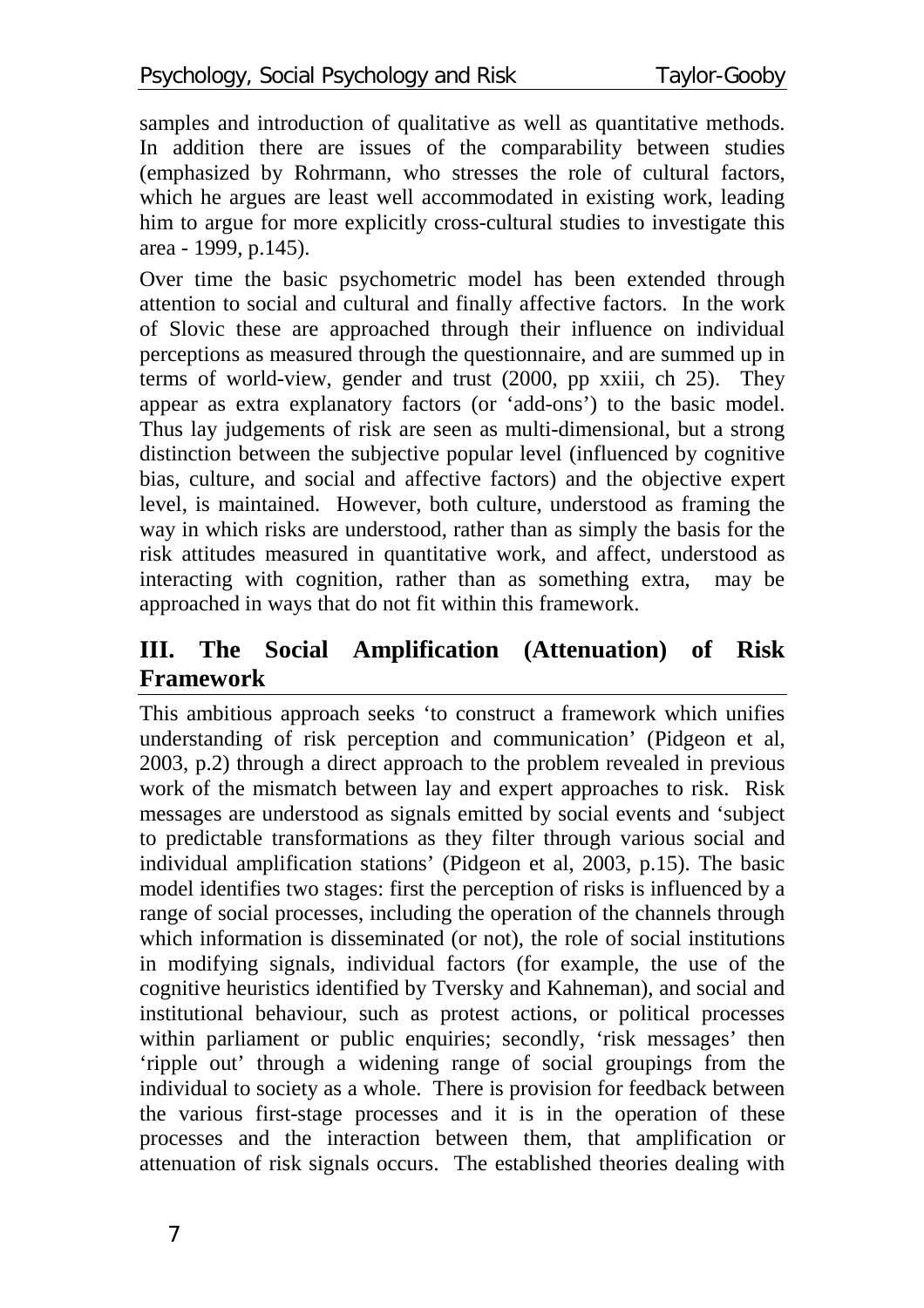samples and introduction of qualitative as well as quantitative methods. In addition there are issues of the comparability between studies (emphasized by Rohrmann, who stresses the role of cultural factors, which he argues are least well accommodated in existing work, leading him to argue for more explicitly cross-cultural studies to investigate this area - 1999, p.145).

Over time the basic psychometric model has been extended through attention to social and cultural and finally affective factors. In the work of Slovic these are approached through their influence on individual perceptions as measured through the questionnaire, and are summed up in terms of world-view, gender and trust (2000, pp xxiii, ch 25). They appear as extra explanatory factors (or 'add-ons') to the basic model. Thus lay judgements of risk are seen as multi-dimensional, but a strong distinction between the subjective popular level (influenced by cognitive bias, culture, and social and affective factors) and the objective expert level, is maintained. However, both culture, understood as framing the way in which risks are understood, rather than as simply the basis for the risk attitudes measured in quantitative work, and affect, understood as interacting with cognition, rather than as something extra, may be approached in ways that do not fit within this framework.

## **III. The Social Amplification (Attenuation) of Risk Framework**

This ambitious approach seeks 'to construct a framework which unifies understanding of risk perception and communication' (Pidgeon et al, 2003, p.2) through a direct approach to the problem revealed in previous work of the mismatch between lay and expert approaches to risk. Risk messages are understood as signals emitted by social events and 'subject to predictable transformations as they filter through various social and individual amplification stations' (Pidgeon et al, 2003, p.15). The basic model identifies two stages: first the perception of risks is influenced by a range of social processes, including the operation of the channels through which information is disseminated (or not), the role of social institutions in modifying signals, individual factors (for example, the use of the cognitive heuristics identified by Tversky and Kahneman), and social and institutional behaviour, such as protest actions, or political processes within parliament or public enquiries; secondly, 'risk messages' then 'ripple out' through a widening range of social groupings from the individual to society as a whole. There is provision for feedback between the various first-stage processes and it is in the operation of these processes and the interaction between them, that amplification or attenuation of risk signals occurs. The established theories dealing with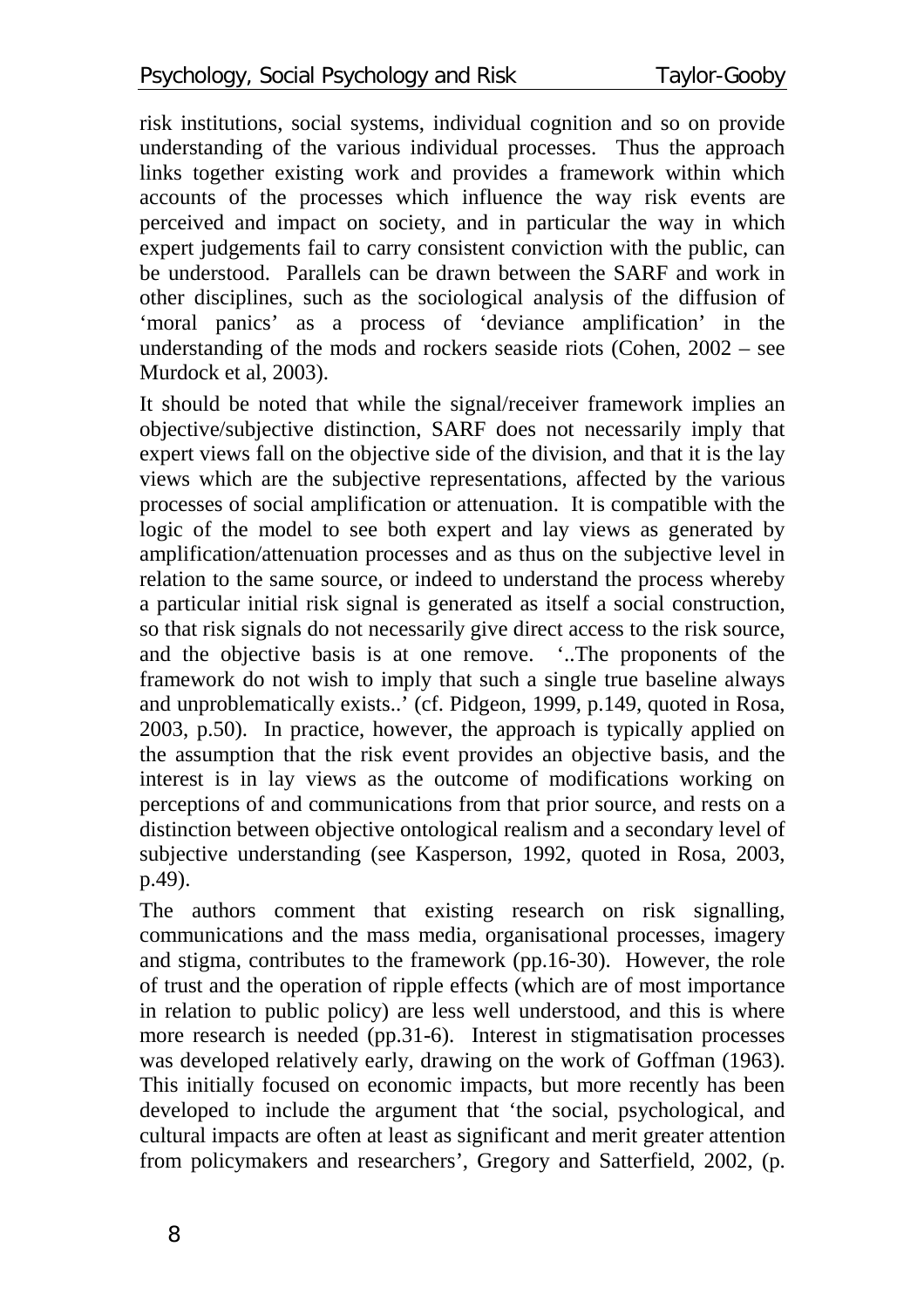risk institutions, social systems, individual cognition and so on provide understanding of the various individual processes. Thus the approach links together existing work and provides a framework within which accounts of the processes which influence the way risk events are perceived and impact on society, and in particular the way in which expert judgements fail to carry consistent conviction with the public, can be understood. Parallels can be drawn between the SARF and work in other disciplines, such as the sociological analysis of the diffusion of 'moral panics' as a process of 'deviance amplification' in the understanding of the mods and rockers seaside riots (Cohen, 2002 – see Murdock et al, 2003).

It should be noted that while the signal/receiver framework implies an objective/subjective distinction, SARF does not necessarily imply that expert views fall on the objective side of the division, and that it is the lay views which are the subjective representations, affected by the various processes of social amplification or attenuation. It is compatible with the logic of the model to see both expert and lay views as generated by amplification/attenuation processes and as thus on the subjective level in relation to the same source, or indeed to understand the process whereby a particular initial risk signal is generated as itself a social construction, so that risk signals do not necessarily give direct access to the risk source, and the objective basis is at one remove. '..The proponents of the framework do not wish to imply that such a single true baseline always and unproblematically exists..' (cf. Pidgeon, 1999, p.149, quoted in Rosa, 2003, p.50). In practice, however, the approach is typically applied on the assumption that the risk event provides an objective basis, and the interest is in lay views as the outcome of modifications working on perceptions of and communications from that prior source, and rests on a distinction between objective ontological realism and a secondary level of subjective understanding (see Kasperson, 1992, quoted in Rosa, 2003, p.49).

The authors comment that existing research on risk signalling, communications and the mass media, organisational processes, imagery and stigma, contributes to the framework (pp.16-30). However, the role of trust and the operation of ripple effects (which are of most importance in relation to public policy) are less well understood, and this is where more research is needed (pp.31-6). Interest in stigmatisation processes was developed relatively early, drawing on the work of Goffman (1963). This initially focused on economic impacts, but more recently has been developed to include the argument that 'the social, psychological, and cultural impacts are often at least as significant and merit greater attention from policymakers and researchers', Gregory and Satterfield, 2002, (p.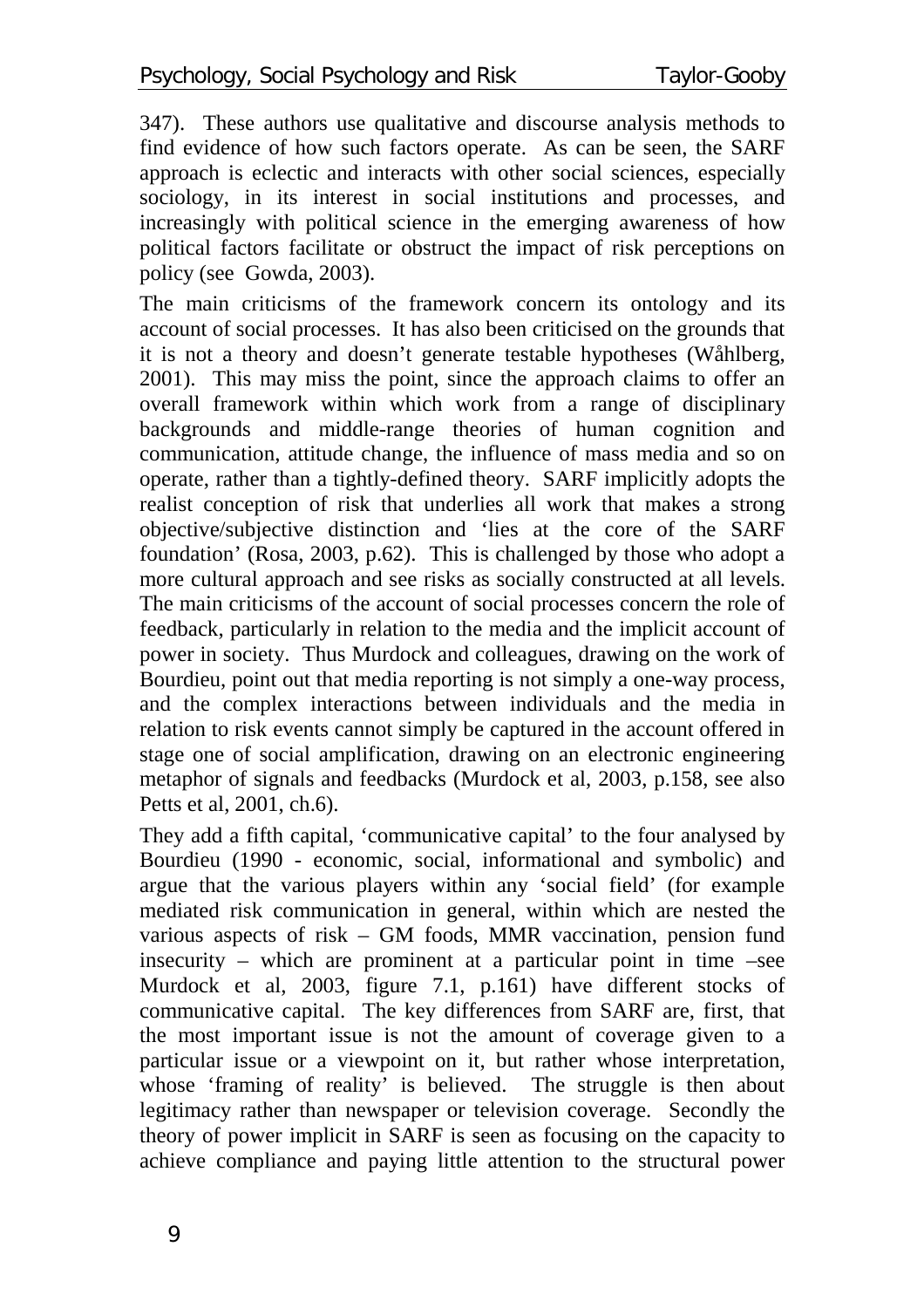347). These authors use qualitative and discourse analysis methods to find evidence of how such factors operate. As can be seen, the SARF approach is eclectic and interacts with other social sciences, especially sociology, in its interest in social institutions and processes, and increasingly with political science in the emerging awareness of how political factors facilitate or obstruct the impact of risk perceptions on policy (see Gowda, 2003).

The main criticisms of the framework concern its ontology and its account of social processes. It has also been criticised on the grounds that it is not a theory and doesn't generate testable hypotheses (Wåhlberg, 2001). This may miss the point, since the approach claims to offer an overall framework within which work from a range of disciplinary backgrounds and middle-range theories of human cognition and communication, attitude change, the influence of mass media and so on operate, rather than a tightly-defined theory. SARF implicitly adopts the realist conception of risk that underlies all work that makes a strong objective/subjective distinction and 'lies at the core of the SARF foundation' (Rosa, 2003, p.62). This is challenged by those who adopt a more cultural approach and see risks as socially constructed at all levels. The main criticisms of the account of social processes concern the role of feedback, particularly in relation to the media and the implicit account of power in society. Thus Murdock and colleagues, drawing on the work of Bourdieu, point out that media reporting is not simply a one-way process, and the complex interactions between individuals and the media in relation to risk events cannot simply be captured in the account offered in stage one of social amplification, drawing on an electronic engineering metaphor of signals and feedbacks (Murdock et al, 2003, p.158, see also Petts et al, 2001, ch.6).

They add a fifth capital, 'communicative capital' to the four analysed by Bourdieu (1990 - economic, social, informational and symbolic) and argue that the various players within any 'social field' (for example mediated risk communication in general, within which are nested the various aspects of risk – GM foods, MMR vaccination, pension fund insecurity – which are prominent at a particular point in time –see Murdock et al, 2003, figure 7.1, p.161) have different stocks of communicative capital. The key differences from SARF are, first, that the most important issue is not the amount of coverage given to a particular issue or a viewpoint on it, but rather whose interpretation, whose 'framing of reality' is believed. The struggle is then about legitimacy rather than newspaper or television coverage. Secondly the theory of power implicit in SARF is seen as focusing on the capacity to achieve compliance and paying little attention to the structural power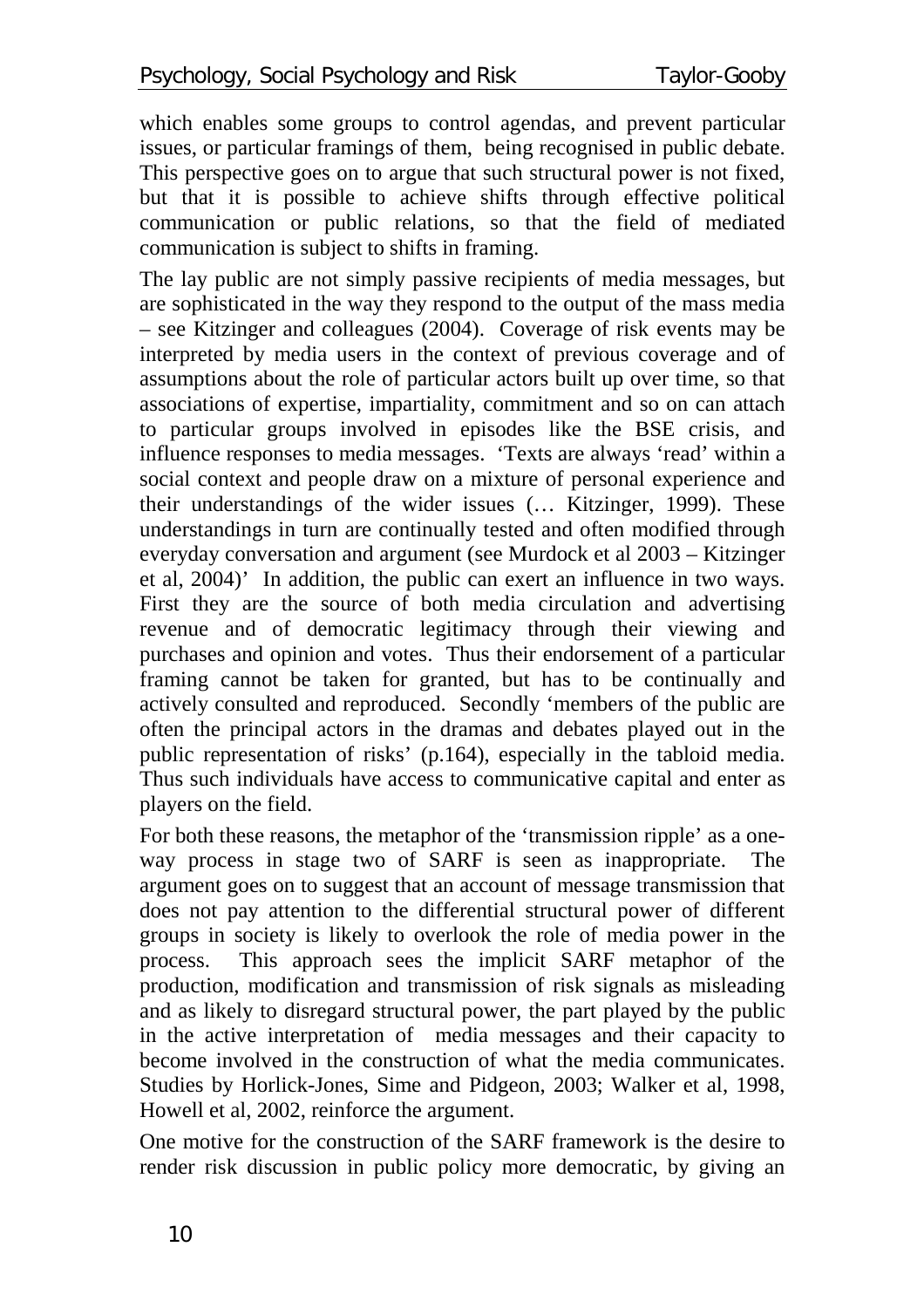which enables some groups to control agendas, and prevent particular issues, or particular framings of them, being recognised in public debate. This perspective goes on to argue that such structural power is not fixed, but that it is possible to achieve shifts through effective political communication or public relations, so that the field of mediated communication is subject to shifts in framing.

The lay public are not simply passive recipients of media messages, but are sophisticated in the way they respond to the output of the mass media – see Kitzinger and colleagues (2004). Coverage of risk events may be interpreted by media users in the context of previous coverage and of assumptions about the role of particular actors built up over time, so that associations of expertise, impartiality, commitment and so on can attach to particular groups involved in episodes like the BSE crisis, and influence responses to media messages. 'Texts are always 'read' within a social context and people draw on a mixture of personal experience and their understandings of the wider issues (… Kitzinger, 1999). These understandings in turn are continually tested and often modified through everyday conversation and argument (see Murdock et al 2003 – Kitzinger et al, 2004)' In addition, the public can exert an influence in two ways. First they are the source of both media circulation and advertising revenue and of democratic legitimacy through their viewing and purchases and opinion and votes. Thus their endorsement of a particular framing cannot be taken for granted, but has to be continually and actively consulted and reproduced. Secondly 'members of the public are often the principal actors in the dramas and debates played out in the public representation of risks' (p.164), especially in the tabloid media. Thus such individuals have access to communicative capital and enter as players on the field.

For both these reasons, the metaphor of the 'transmission ripple' as a oneway process in stage two of SARF is seen as inappropriate. The argument goes on to suggest that an account of message transmission that does not pay attention to the differential structural power of different groups in society is likely to overlook the role of media power in the process. This approach sees the implicit SARF metaphor of the production, modification and transmission of risk signals as misleading and as likely to disregard structural power, the part played by the public in the active interpretation of media messages and their capacity to become involved in the construction of what the media communicates. Studies by Horlick-Jones, Sime and Pidgeon, 2003; Walker et al, 1998, Howell et al, 2002, reinforce the argument.

One motive for the construction of the SARF framework is the desire to render risk discussion in public policy more democratic, by giving an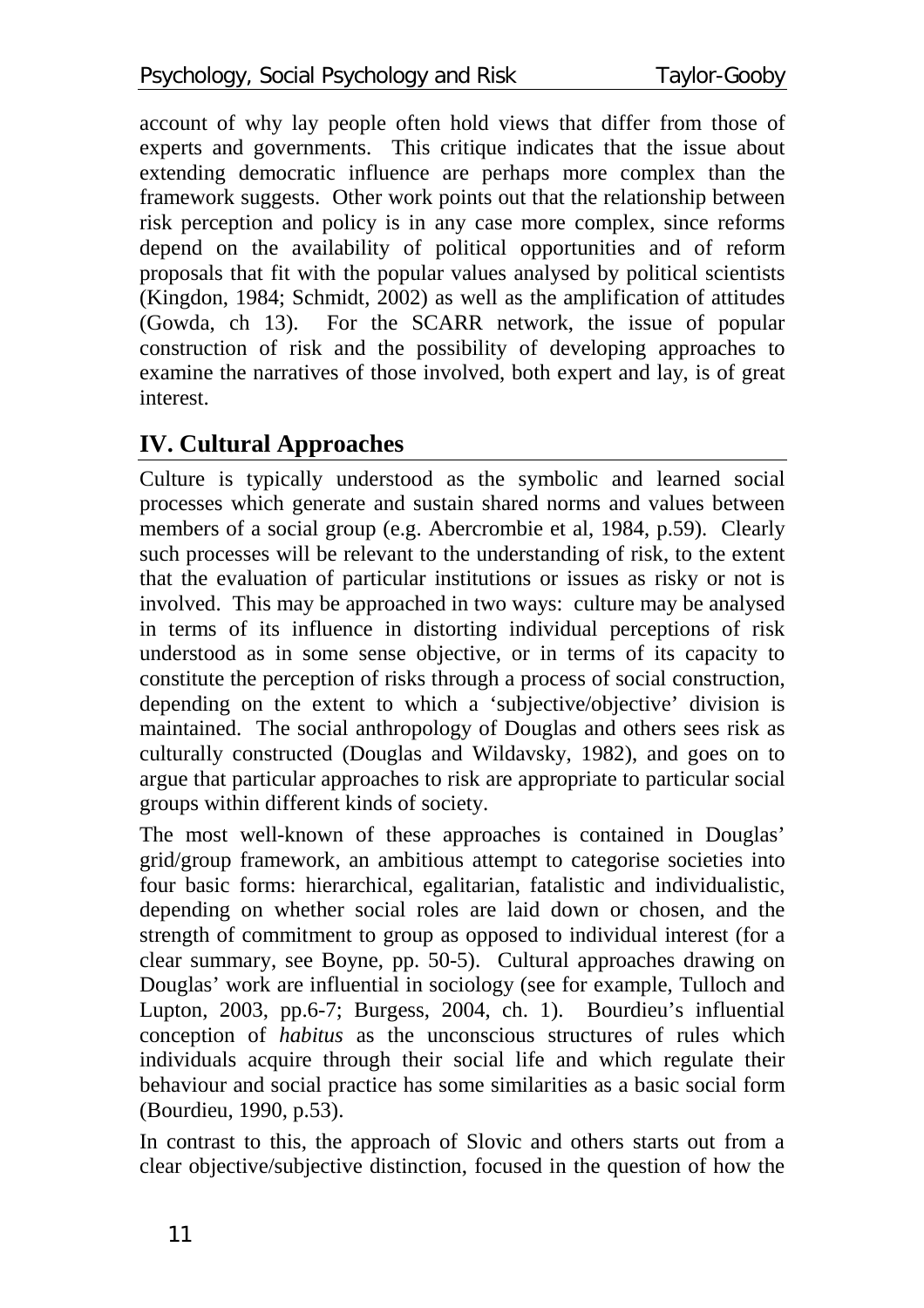account of why lay people often hold views that differ from those of experts and governments. This critique indicates that the issue about extending democratic influence are perhaps more complex than the framework suggests. Other work points out that the relationship between risk perception and policy is in any case more complex, since reforms depend on the availability of political opportunities and of reform proposals that fit with the popular values analysed by political scientists (Kingdon, 1984; Schmidt, 2002) as well as the amplification of attitudes (Gowda, ch 13). For the SCARR network, the issue of popular construction of risk and the possibility of developing approaches to examine the narratives of those involved, both expert and lay, is of great interest.

# **IV. Cultural Approaches**

Culture is typically understood as the symbolic and learned social processes which generate and sustain shared norms and values between members of a social group (e.g. Abercrombie et al, 1984, p.59). Clearly such processes will be relevant to the understanding of risk, to the extent that the evaluation of particular institutions or issues as risky or not is involved. This may be approached in two ways: culture may be analysed in terms of its influence in distorting individual perceptions of risk understood as in some sense objective, or in terms of its capacity to constitute the perception of risks through a process of social construction, depending on the extent to which a 'subjective/objective' division is maintained. The social anthropology of Douglas and others sees risk as culturally constructed (Douglas and Wildavsky, 1982), and goes on to argue that particular approaches to risk are appropriate to particular social groups within different kinds of society.

The most well-known of these approaches is contained in Douglas' grid/group framework, an ambitious attempt to categorise societies into four basic forms: hierarchical, egalitarian, fatalistic and individualistic, depending on whether social roles are laid down or chosen, and the strength of commitment to group as opposed to individual interest (for a clear summary, see Boyne, pp. 50-5). Cultural approaches drawing on Douglas' work are influential in sociology (see for example, Tulloch and Lupton, 2003, pp.6-7; Burgess, 2004, ch. 1). Bourdieu's influential conception of *habitus* as the unconscious structures of rules which individuals acquire through their social life and which regulate their behaviour and social practice has some similarities as a basic social form (Bourdieu, 1990, p.53).

In contrast to this, the approach of Slovic and others starts out from a clear objective/subjective distinction, focused in the question of how the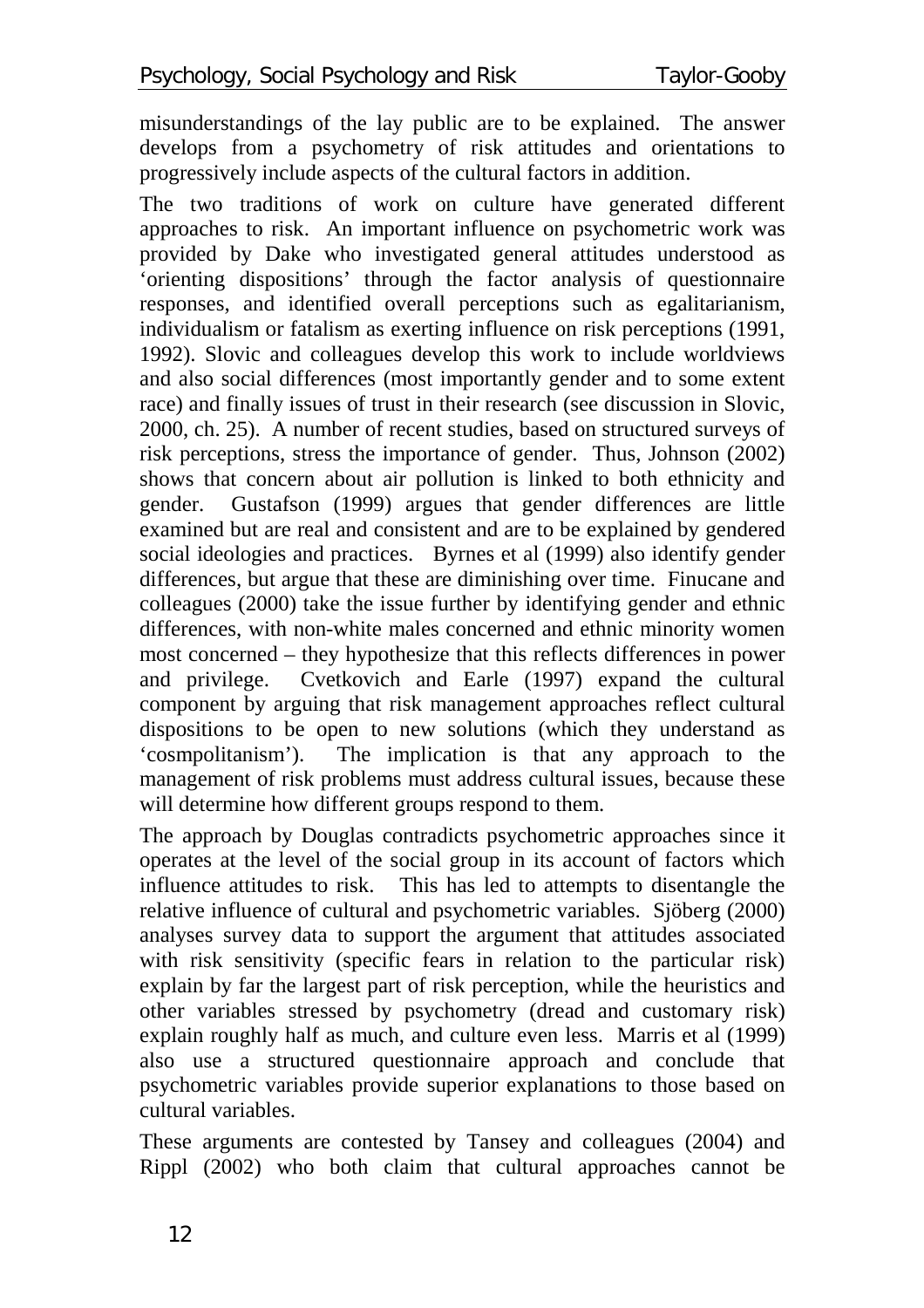misunderstandings of the lay public are to be explained. The answer develops from a psychometry of risk attitudes and orientations to progressively include aspects of the cultural factors in addition.

The two traditions of work on culture have generated different approaches to risk. An important influence on psychometric work was provided by Dake who investigated general attitudes understood as 'orienting dispositions' through the factor analysis of questionnaire responses, and identified overall perceptions such as egalitarianism, individualism or fatalism as exerting influence on risk perceptions (1991, 1992). Slovic and colleagues develop this work to include worldviews and also social differences (most importantly gender and to some extent race) and finally issues of trust in their research (see discussion in Slovic, 2000, ch. 25). A number of recent studies, based on structured surveys of risk perceptions, stress the importance of gender. Thus, Johnson (2002) shows that concern about air pollution is linked to both ethnicity and gender. Gustafson (1999) argues that gender differences are little examined but are real and consistent and are to be explained by gendered social ideologies and practices. Byrnes et al (1999) also identify gender differences, but argue that these are diminishing over time. Finucane and colleagues (2000) take the issue further by identifying gender and ethnic differences, with non-white males concerned and ethnic minority women most concerned – they hypothesize that this reflects differences in power and privilege. Cvetkovich and Earle (1997) expand the cultural component by arguing that risk management approaches reflect cultural dispositions to be open to new solutions (which they understand as 'cosmpolitanism'). The implication is that any approach to the management of risk problems must address cultural issues, because these will determine how different groups respond to them.

The approach by Douglas contradicts psychometric approaches since it operates at the level of the social group in its account of factors which influence attitudes to risk. This has led to attempts to disentangle the relative influence of cultural and psychometric variables. Sjöberg (2000) analyses survey data to support the argument that attitudes associated with risk sensitivity (specific fears in relation to the particular risk) explain by far the largest part of risk perception, while the heuristics and other variables stressed by psychometry (dread and customary risk) explain roughly half as much, and culture even less. Marris et al (1999) also use a structured questionnaire approach and conclude that psychometric variables provide superior explanations to those based on cultural variables.

These arguments are contested by Tansey and colleagues (2004) and Rippl (2002) who both claim that cultural approaches cannot be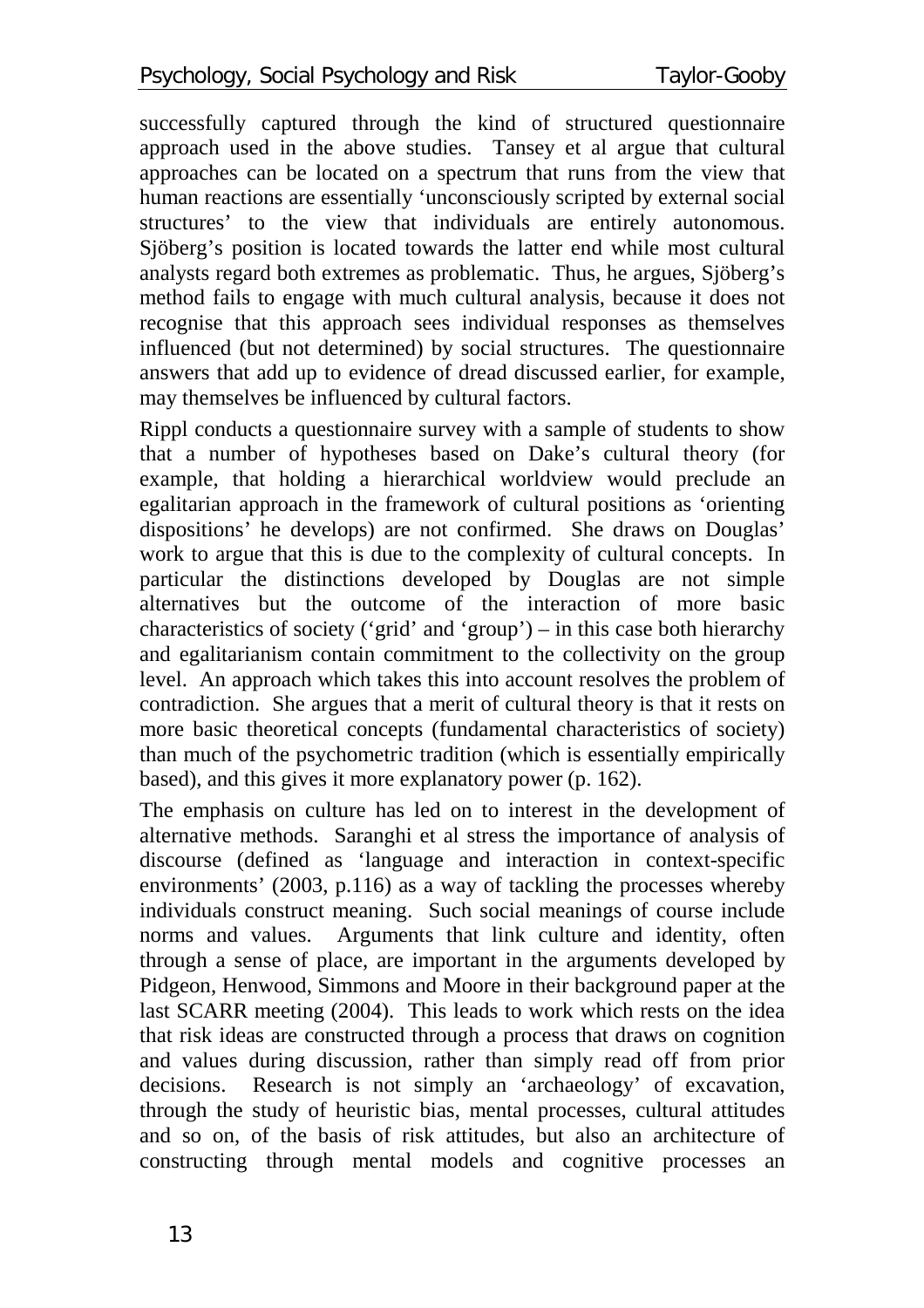successfully captured through the kind of structured questionnaire approach used in the above studies. Tansey et al argue that cultural approaches can be located on a spectrum that runs from the view that human reactions are essentially 'unconsciously scripted by external social structures' to the view that individuals are entirely autonomous. Sjöberg's position is located towards the latter end while most cultural analysts regard both extremes as problematic. Thus, he argues, Sjöberg's method fails to engage with much cultural analysis, because it does not recognise that this approach sees individual responses as themselves influenced (but not determined) by social structures. The questionnaire answers that add up to evidence of dread discussed earlier, for example, may themselves be influenced by cultural factors.

Rippl conducts a questionnaire survey with a sample of students to show that a number of hypotheses based on Dake's cultural theory (for example, that holding a hierarchical worldview would preclude an egalitarian approach in the framework of cultural positions as 'orienting dispositions' he develops) are not confirmed. She draws on Douglas' work to argue that this is due to the complexity of cultural concepts. In particular the distinctions developed by Douglas are not simple alternatives but the outcome of the interaction of more basic characteristics of society ('grid' and 'group') – in this case both hierarchy and egalitarianism contain commitment to the collectivity on the group level. An approach which takes this into account resolves the problem of contradiction. She argues that a merit of cultural theory is that it rests on more basic theoretical concepts (fundamental characteristics of society) than much of the psychometric tradition (which is essentially empirically based), and this gives it more explanatory power (p. 162).

The emphasis on culture has led on to interest in the development of alternative methods. Saranghi et al stress the importance of analysis of discourse (defined as 'language and interaction in context-specific environments' (2003, p.116) as a way of tackling the processes whereby individuals construct meaning. Such social meanings of course include norms and values. Arguments that link culture and identity, often through a sense of place, are important in the arguments developed by Pidgeon, Henwood, Simmons and Moore in their background paper at the last SCARR meeting (2004). This leads to work which rests on the idea that risk ideas are constructed through a process that draws on cognition and values during discussion, rather than simply read off from prior decisions. Research is not simply an 'archaeology' of excavation, through the study of heuristic bias, mental processes, cultural attitudes and so on, of the basis of risk attitudes, but also an architecture of constructing through mental models and cognitive processes an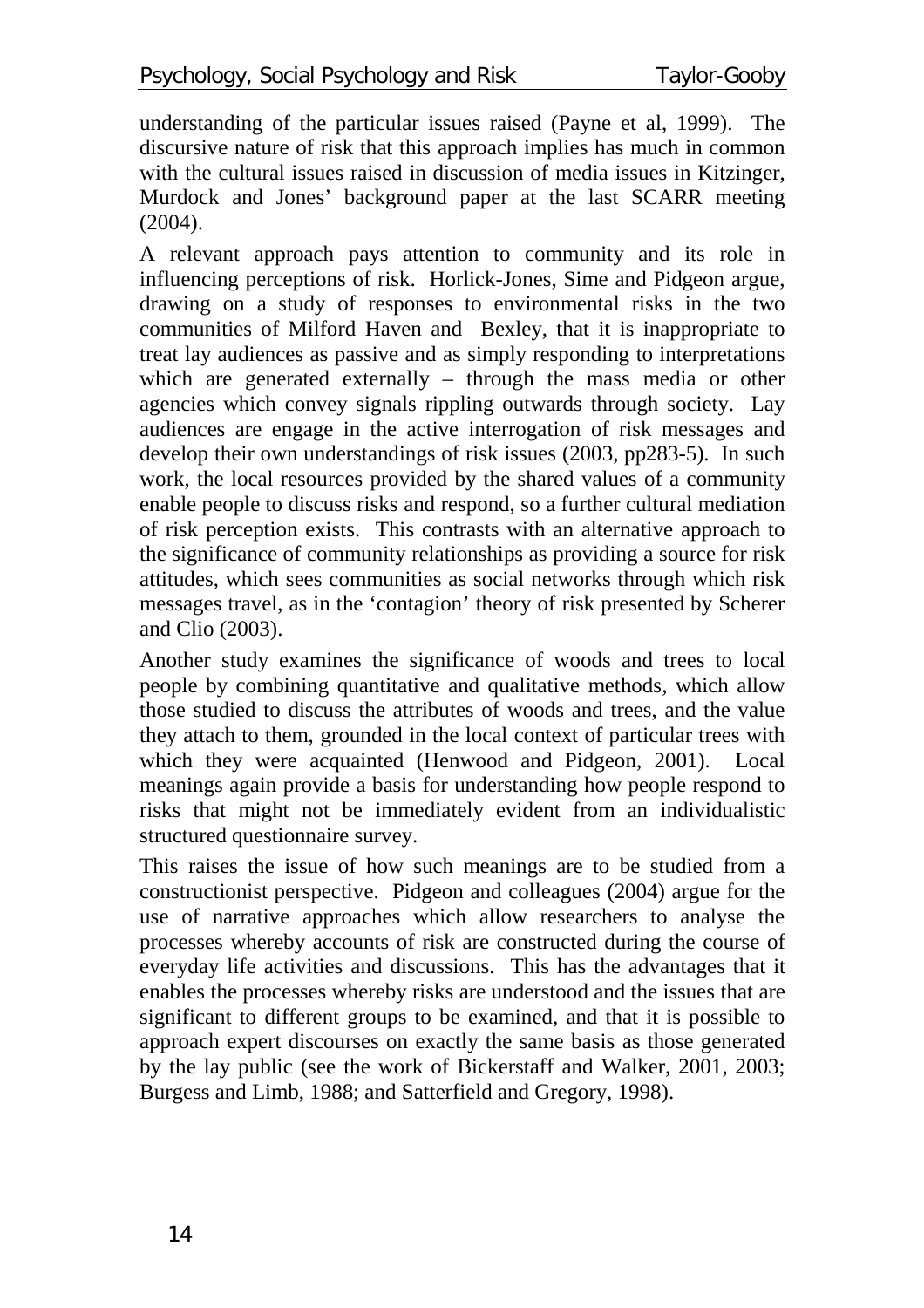understanding of the particular issues raised (Payne et al, 1999). The discursive nature of risk that this approach implies has much in common with the cultural issues raised in discussion of media issues in Kitzinger, Murdock and Jones' background paper at the last SCARR meeting (2004).

A relevant approach pays attention to community and its role in influencing perceptions of risk. Horlick-Jones, Sime and Pidgeon argue, drawing on a study of responses to environmental risks in the two communities of Milford Haven and Bexley, that it is inappropriate to treat lay audiences as passive and as simply responding to interpretations which are generated externally – through the mass media or other agencies which convey signals rippling outwards through society. Lay audiences are engage in the active interrogation of risk messages and develop their own understandings of risk issues (2003, pp283-5). In such work, the local resources provided by the shared values of a community enable people to discuss risks and respond, so a further cultural mediation of risk perception exists. This contrasts with an alternative approach to the significance of community relationships as providing a source for risk attitudes, which sees communities as social networks through which risk messages travel, as in the 'contagion' theory of risk presented by Scherer and Clio (2003).

Another study examines the significance of woods and trees to local people by combining quantitative and qualitative methods, which allow those studied to discuss the attributes of woods and trees, and the value they attach to them, grounded in the local context of particular trees with which they were acquainted (Henwood and Pidgeon, 2001). Local meanings again provide a basis for understanding how people respond to risks that might not be immediately evident from an individualistic structured questionnaire survey.

This raises the issue of how such meanings are to be studied from a constructionist perspective. Pidgeon and colleagues (2004) argue for the use of narrative approaches which allow researchers to analyse the processes whereby accounts of risk are constructed during the course of everyday life activities and discussions. This has the advantages that it enables the processes whereby risks are understood and the issues that are significant to different groups to be examined, and that it is possible to approach expert discourses on exactly the same basis as those generated by the lay public (see the work of Bickerstaff and Walker, 2001, 2003; Burgess and Limb, 1988; and Satterfield and Gregory, 1998).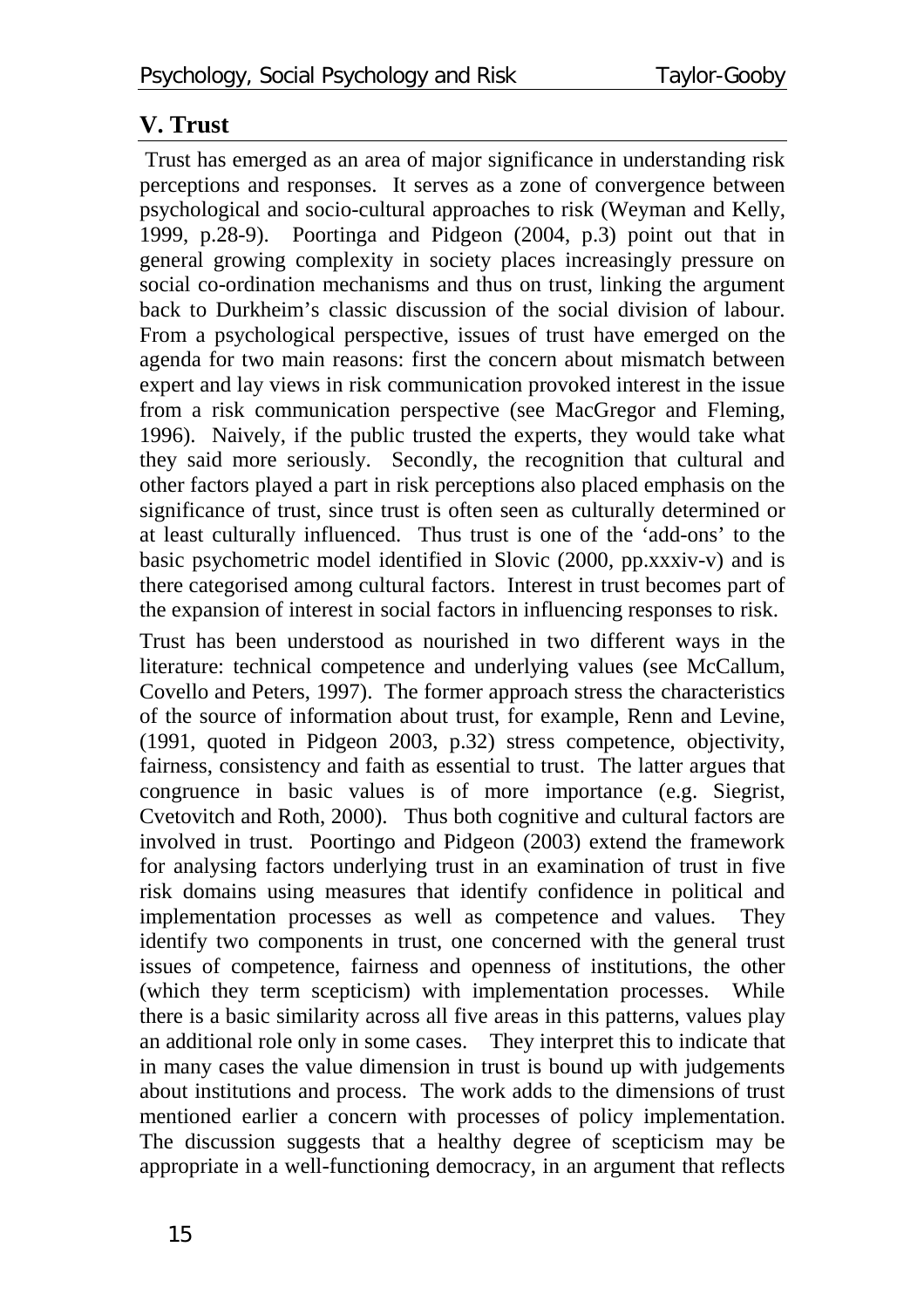# **V. Trust**

 Trust has emerged as an area of major significance in understanding risk perceptions and responses. It serves as a zone of convergence between psychological and socio-cultural approaches to risk (Weyman and Kelly, 1999, p.28-9). Poortinga and Pidgeon (2004, p.3) point out that in general growing complexity in society places increasingly pressure on social co-ordination mechanisms and thus on trust, linking the argument back to Durkheim's classic discussion of the social division of labour. From a psychological perspective, issues of trust have emerged on the agenda for two main reasons: first the concern about mismatch between expert and lay views in risk communication provoked interest in the issue from a risk communication perspective (see MacGregor and Fleming, 1996). Naively, if the public trusted the experts, they would take what they said more seriously. Secondly, the recognition that cultural and other factors played a part in risk perceptions also placed emphasis on the significance of trust, since trust is often seen as culturally determined or at least culturally influenced. Thus trust is one of the 'add-ons' to the basic psychometric model identified in Slovic (2000, pp.xxxiv-v) and is there categorised among cultural factors. Interest in trust becomes part of the expansion of interest in social factors in influencing responses to risk.

Trust has been understood as nourished in two different ways in the literature: technical competence and underlying values (see McCallum, Covello and Peters, 1997). The former approach stress the characteristics of the source of information about trust, for example, Renn and Levine, (1991, quoted in Pidgeon 2003, p.32) stress competence, objectivity, fairness, consistency and faith as essential to trust. The latter argues that congruence in basic values is of more importance (e.g. Siegrist, Cvetovitch and Roth, 2000). Thus both cognitive and cultural factors are involved in trust. Poortingo and Pidgeon (2003) extend the framework for analysing factors underlying trust in an examination of trust in five risk domains using measures that identify confidence in political and implementation processes as well as competence and values. They identify two components in trust, one concerned with the general trust issues of competence, fairness and openness of institutions, the other (which they term scepticism) with implementation processes. While there is a basic similarity across all five areas in this patterns, values play an additional role only in some cases. They interpret this to indicate that in many cases the value dimension in trust is bound up with judgements about institutions and process. The work adds to the dimensions of trust mentioned earlier a concern with processes of policy implementation. The discussion suggests that a healthy degree of scepticism may be appropriate in a well-functioning democracy, in an argument that reflects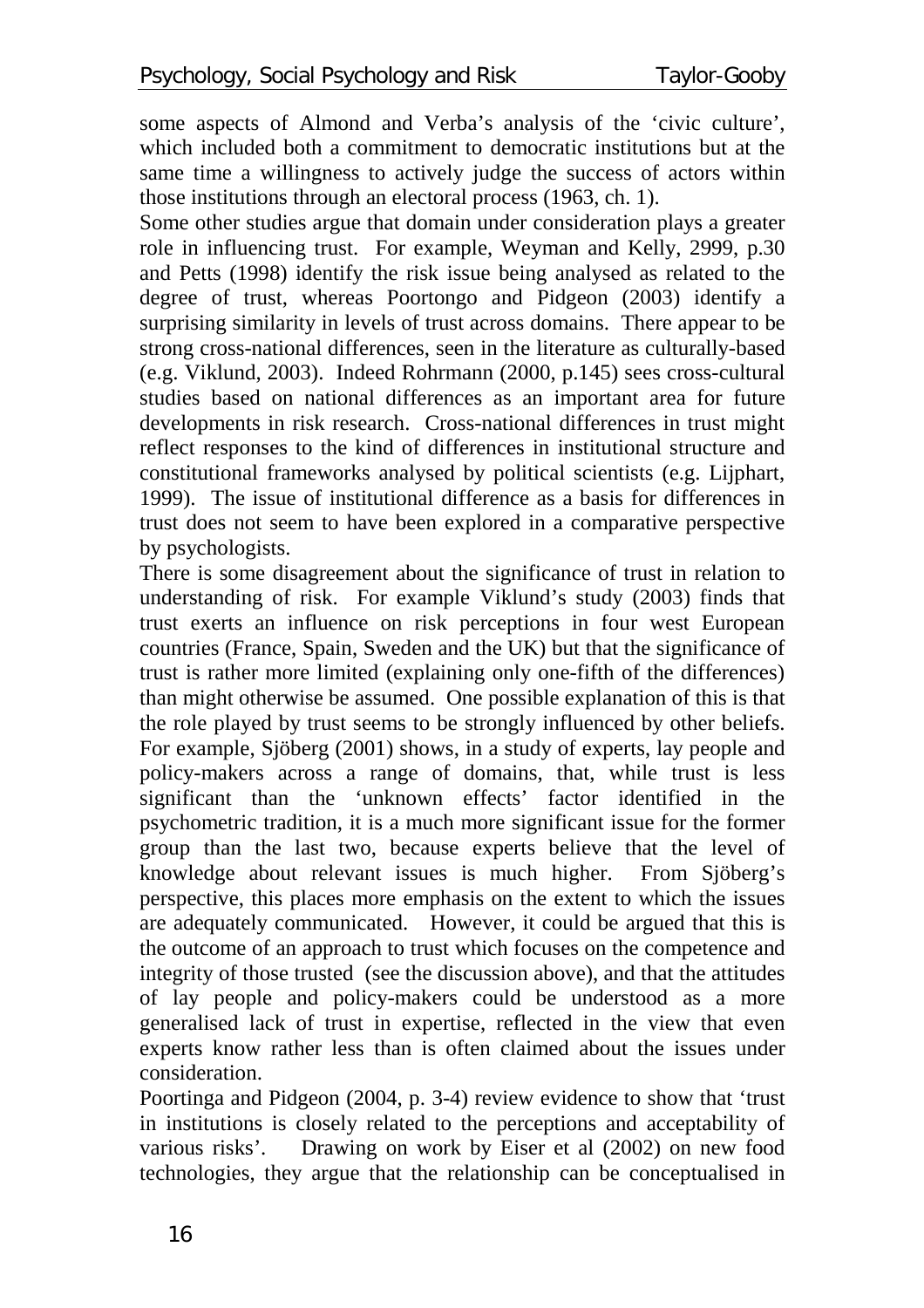some aspects of Almond and Verba's analysis of the 'civic culture', which included both a commitment to democratic institutions but at the same time a willingness to actively judge the success of actors within those institutions through an electoral process (1963, ch. 1).

Some other studies argue that domain under consideration plays a greater role in influencing trust. For example, Weyman and Kelly, 2999, p.30 and Petts (1998) identify the risk issue being analysed as related to the degree of trust, whereas Poortongo and Pidgeon (2003) identify a surprising similarity in levels of trust across domains. There appear to be strong cross-national differences, seen in the literature as culturally-based (e.g. Viklund, 2003). Indeed Rohrmann (2000, p.145) sees cross-cultural studies based on national differences as an important area for future developments in risk research. Cross-national differences in trust might reflect responses to the kind of differences in institutional structure and constitutional frameworks analysed by political scientists (e.g. Lijphart, 1999). The issue of institutional difference as a basis for differences in trust does not seem to have been explored in a comparative perspective by psychologists.

There is some disagreement about the significance of trust in relation to understanding of risk. For example Viklund's study (2003) finds that trust exerts an influence on risk perceptions in four west European countries (France, Spain, Sweden and the UK) but that the significance of trust is rather more limited (explaining only one-fifth of the differences) than might otherwise be assumed. One possible explanation of this is that the role played by trust seems to be strongly influenced by other beliefs. For example, Sjöberg (2001) shows, in a study of experts, lay people and policy-makers across a range of domains, that, while trust is less significant than the 'unknown effects' factor identified in the psychometric tradition, it is a much more significant issue for the former group than the last two, because experts believe that the level of knowledge about relevant issues is much higher. From Sjöberg's perspective, this places more emphasis on the extent to which the issues are adequately communicated. However, it could be argued that this is the outcome of an approach to trust which focuses on the competence and integrity of those trusted (see the discussion above), and that the attitudes of lay people and policy-makers could be understood as a more generalised lack of trust in expertise, reflected in the view that even experts know rather less than is often claimed about the issues under consideration.

Poortinga and Pidgeon (2004, p. 3-4) review evidence to show that 'trust in institutions is closely related to the perceptions and acceptability of various risks'. Drawing on work by Eiser et al (2002) on new food technologies, they argue that the relationship can be conceptualised in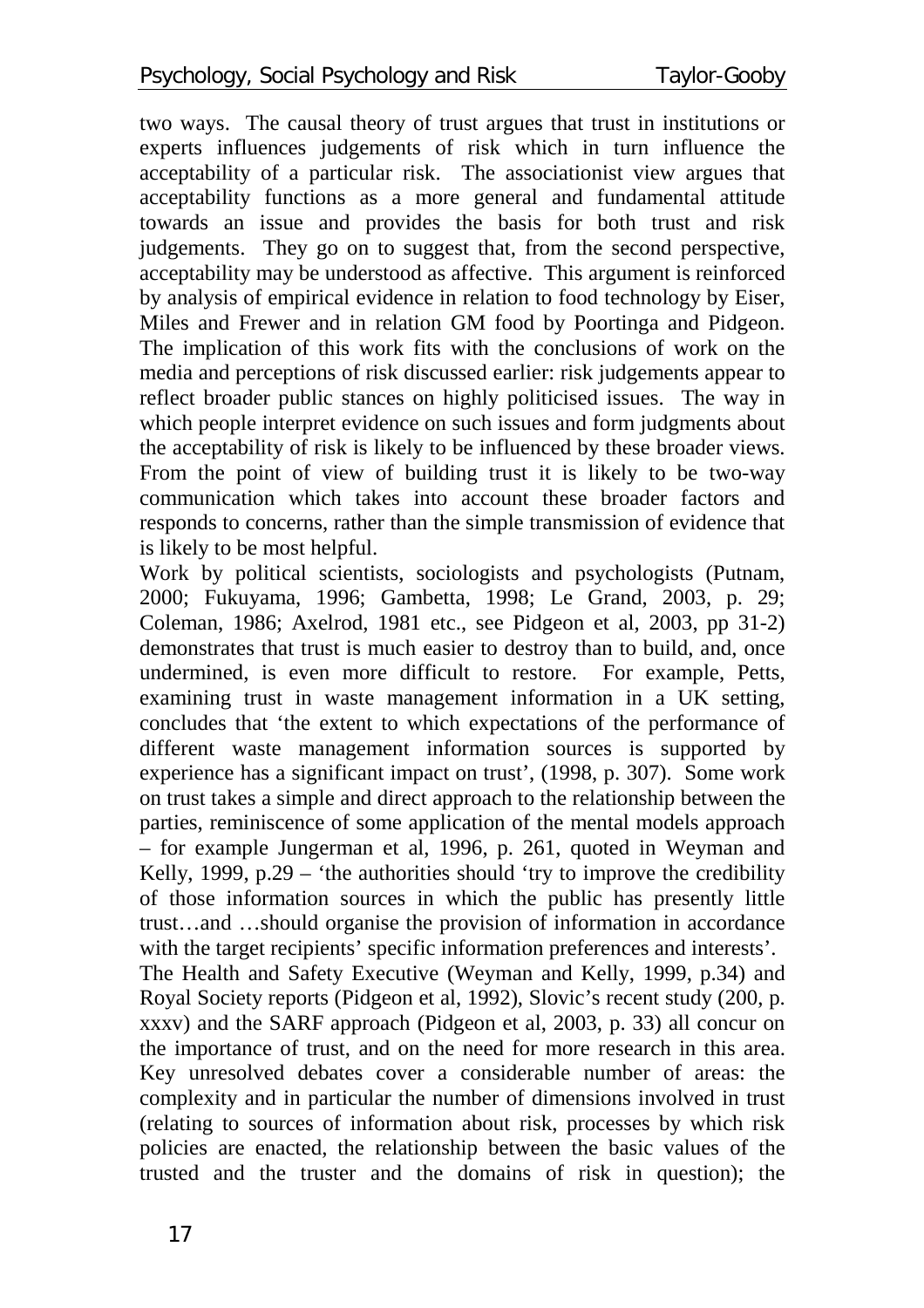two ways. The causal theory of trust argues that trust in institutions or experts influences judgements of risk which in turn influence the acceptability of a particular risk. The associationist view argues that acceptability functions as a more general and fundamental attitude towards an issue and provides the basis for both trust and risk judgements. They go on to suggest that, from the second perspective, acceptability may be understood as affective. This argument is reinforced by analysis of empirical evidence in relation to food technology by Eiser, Miles and Frewer and in relation GM food by Poortinga and Pidgeon. The implication of this work fits with the conclusions of work on the media and perceptions of risk discussed earlier: risk judgements appear to reflect broader public stances on highly politicised issues. The way in which people interpret evidence on such issues and form judgments about the acceptability of risk is likely to be influenced by these broader views. From the point of view of building trust it is likely to be two-way communication which takes into account these broader factors and responds to concerns, rather than the simple transmission of evidence that is likely to be most helpful.

Work by political scientists, sociologists and psychologists (Putnam, 2000; Fukuyama, 1996; Gambetta, 1998; Le Grand, 2003, p. 29; Coleman, 1986; Axelrod, 1981 etc., see Pidgeon et al, 2003, pp 31-2) demonstrates that trust is much easier to destroy than to build, and, once undermined, is even more difficult to restore. For example, Petts, examining trust in waste management information in a UK setting, concludes that 'the extent to which expectations of the performance of different waste management information sources is supported by experience has a significant impact on trust', (1998, p. 307). Some work on trust takes a simple and direct approach to the relationship between the parties, reminiscence of some application of the mental models approach – for example Jungerman et al, 1996, p. 261, quoted in Weyman and Kelly, 1999, p.29 – 'the authorities should 'try to improve the credibility of those information sources in which the public has presently little trust…and …should organise the provision of information in accordance with the target recipients' specific information preferences and interests'. The Health and Safety Executive (Weyman and Kelly, 1999, p.34) and Royal Society reports (Pidgeon et al, 1992), Slovic's recent study (200, p. xxxv) and the SARF approach (Pidgeon et al, 2003, p. 33) all concur on the importance of trust, and on the need for more research in this area. Key unresolved debates cover a considerable number of areas: the complexity and in particular the number of dimensions involved in trust (relating to sources of information about risk, processes by which risk policies are enacted, the relationship between the basic values of the trusted and the truster and the domains of risk in question); the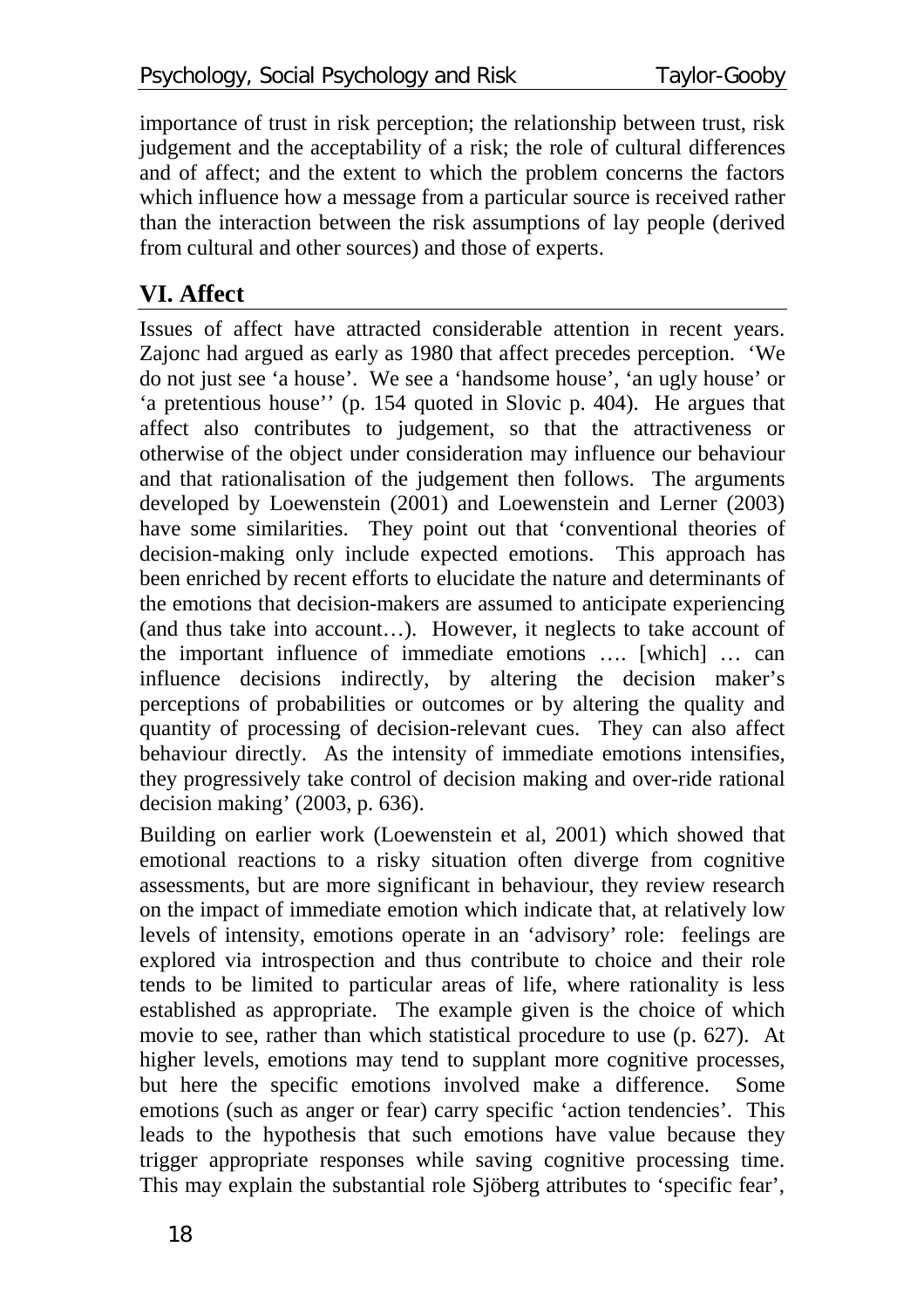importance of trust in risk perception; the relationship between trust, risk judgement and the acceptability of a risk; the role of cultural differences and of affect; and the extent to which the problem concerns the factors which influence how a message from a particular source is received rather than the interaction between the risk assumptions of lay people (derived from cultural and other sources) and those of experts.

## **VI. Affect**

Issues of affect have attracted considerable attention in recent years. Zajonc had argued as early as 1980 that affect precedes perception. 'We do not just see 'a house'. We see a 'handsome house', 'an ugly house' or 'a pretentious house'' (p. 154 quoted in Slovic p. 404). He argues that affect also contributes to judgement, so that the attractiveness or otherwise of the object under consideration may influence our behaviour and that rationalisation of the judgement then follows. The arguments developed by Loewenstein (2001) and Loewenstein and Lerner (2003) have some similarities. They point out that 'conventional theories of decision-making only include expected emotions. This approach has been enriched by recent efforts to elucidate the nature and determinants of the emotions that decision-makers are assumed to anticipate experiencing (and thus take into account…). However, it neglects to take account of the important influence of immediate emotions …. [which] … can influence decisions indirectly, by altering the decision maker's perceptions of probabilities or outcomes or by altering the quality and quantity of processing of decision-relevant cues. They can also affect behaviour directly. As the intensity of immediate emotions intensifies, they progressively take control of decision making and over-ride rational decision making' (2003, p. 636).

Building on earlier work (Loewenstein et al, 2001) which showed that emotional reactions to a risky situation often diverge from cognitive assessments, but are more significant in behaviour, they review research on the impact of immediate emotion which indicate that, at relatively low levels of intensity, emotions operate in an 'advisory' role: feelings are explored via introspection and thus contribute to choice and their role tends to be limited to particular areas of life, where rationality is less established as appropriate. The example given is the choice of which movie to see, rather than which statistical procedure to use (p. 627). At higher levels, emotions may tend to supplant more cognitive processes, but here the specific emotions involved make a difference. Some emotions (such as anger or fear) carry specific 'action tendencies'. This leads to the hypothesis that such emotions have value because they trigger appropriate responses while saving cognitive processing time. This may explain the substantial role Sjöberg attributes to 'specific fear',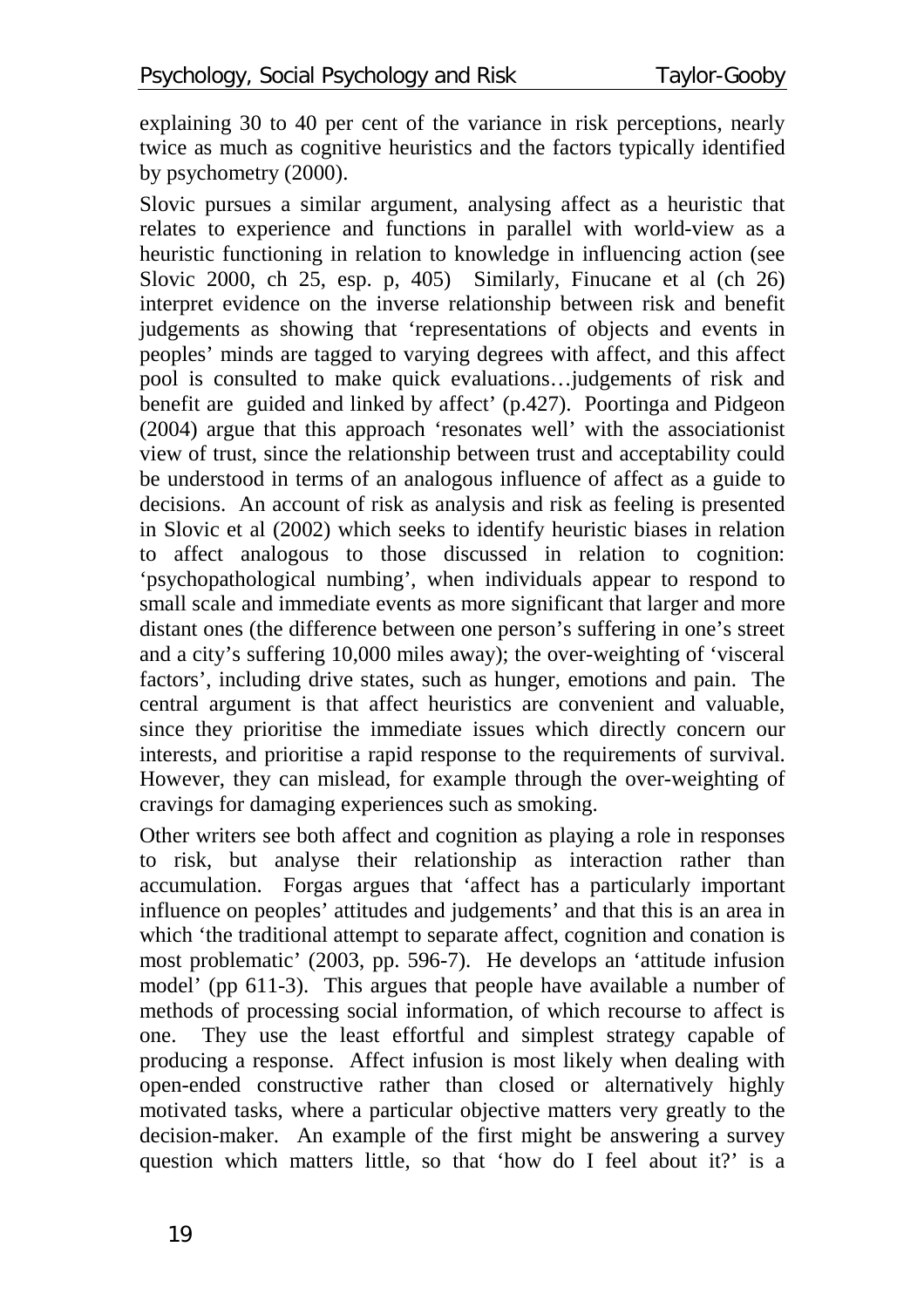explaining 30 to 40 per cent of the variance in risk perceptions, nearly twice as much as cognitive heuristics and the factors typically identified by psychometry (2000).

Slovic pursues a similar argument, analysing affect as a heuristic that relates to experience and functions in parallel with world-view as a heuristic functioning in relation to knowledge in influencing action (see Slovic 2000, ch 25, esp. p, 405) Similarly, Finucane et al (ch 26) interpret evidence on the inverse relationship between risk and benefit judgements as showing that 'representations of objects and events in peoples' minds are tagged to varying degrees with affect, and this affect pool is consulted to make quick evaluations…judgements of risk and benefit are guided and linked by affect' (p.427). Poortinga and Pidgeon (2004) argue that this approach 'resonates well' with the associationist view of trust, since the relationship between trust and acceptability could be understood in terms of an analogous influence of affect as a guide to decisions. An account of risk as analysis and risk as feeling is presented in Slovic et al (2002) which seeks to identify heuristic biases in relation to affect analogous to those discussed in relation to cognition: 'psychopathological numbing', when individuals appear to respond to small scale and immediate events as more significant that larger and more distant ones (the difference between one person's suffering in one's street and a city's suffering 10,000 miles away); the over-weighting of 'visceral factors', including drive states, such as hunger, emotions and pain. The central argument is that affect heuristics are convenient and valuable, since they prioritise the immediate issues which directly concern our interests, and prioritise a rapid response to the requirements of survival. However, they can mislead, for example through the over-weighting of cravings for damaging experiences such as smoking.

Other writers see both affect and cognition as playing a role in responses to risk, but analyse their relationship as interaction rather than accumulation. Forgas argues that 'affect has a particularly important influence on peoples' attitudes and judgements' and that this is an area in which 'the traditional attempt to separate affect, cognition and conation is most problematic' (2003, pp. 596-7). He develops an 'attitude infusion model' (pp 611-3). This argues that people have available a number of methods of processing social information, of which recourse to affect is one. They use the least effortful and simplest strategy capable of producing a response. Affect infusion is most likely when dealing with open-ended constructive rather than closed or alternatively highly motivated tasks, where a particular objective matters very greatly to the decision-maker. An example of the first might be answering a survey question which matters little, so that 'how do I feel about it?' is a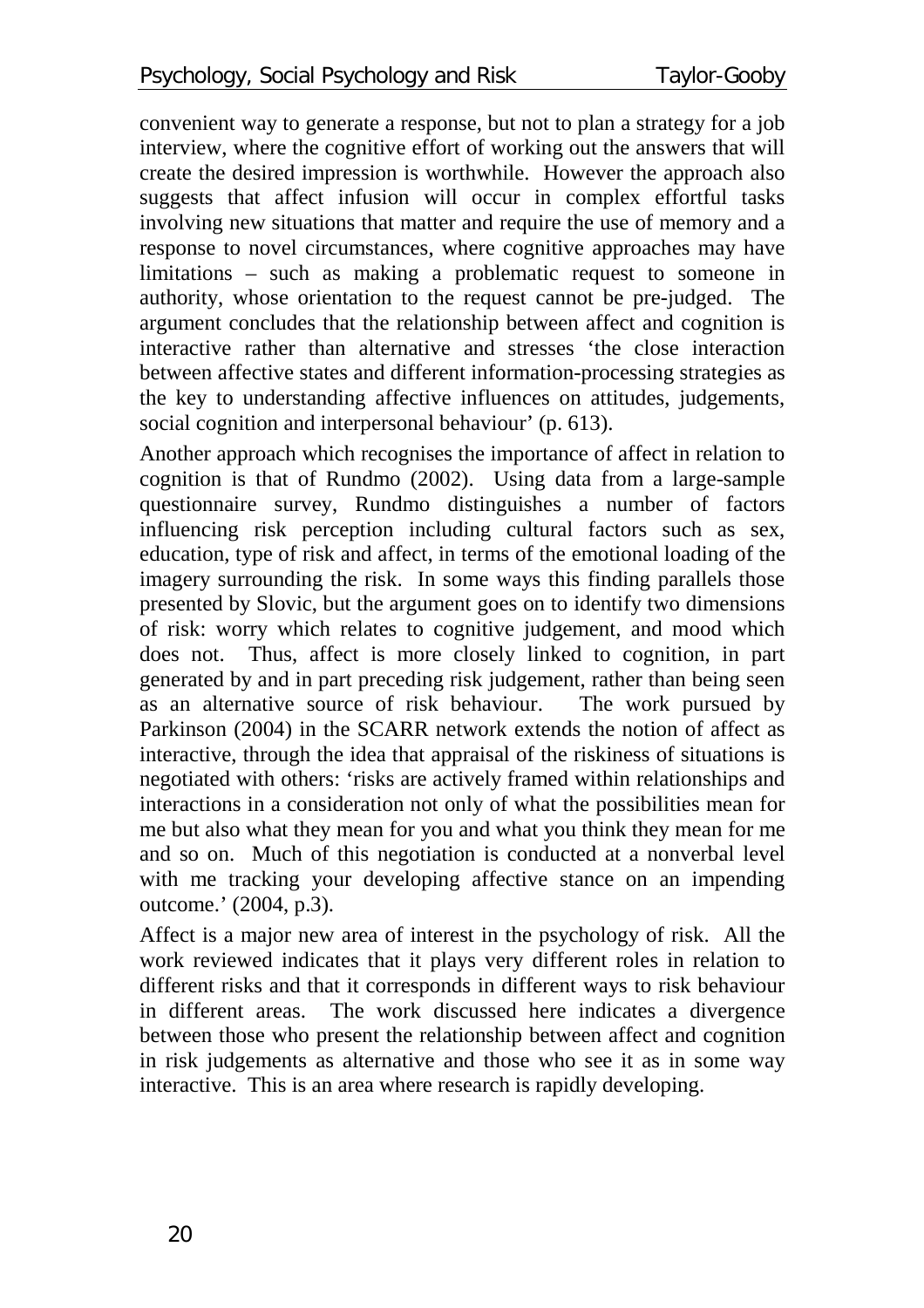convenient way to generate a response, but not to plan a strategy for a job interview, where the cognitive effort of working out the answers that will create the desired impression is worthwhile. However the approach also suggests that affect infusion will occur in complex effortful tasks involving new situations that matter and require the use of memory and a response to novel circumstances, where cognitive approaches may have limitations – such as making a problematic request to someone in authority, whose orientation to the request cannot be pre-judged. The argument concludes that the relationship between affect and cognition is interactive rather than alternative and stresses 'the close interaction between affective states and different information-processing strategies as the key to understanding affective influences on attitudes, judgements, social cognition and interpersonal behaviour' (p. 613).

Another approach which recognises the importance of affect in relation to cognition is that of Rundmo (2002). Using data from a large-sample questionnaire survey, Rundmo distinguishes a number of factors influencing risk perception including cultural factors such as sex, education, type of risk and affect, in terms of the emotional loading of the imagery surrounding the risk. In some ways this finding parallels those presented by Slovic, but the argument goes on to identify two dimensions of risk: worry which relates to cognitive judgement, and mood which does not. Thus, affect is more closely linked to cognition, in part generated by and in part preceding risk judgement, rather than being seen as an alternative source of risk behaviour. The work pursued by Parkinson (2004) in the SCARR network extends the notion of affect as interactive, through the idea that appraisal of the riskiness of situations is negotiated with others: 'risks are actively framed within relationships and interactions in a consideration not only of what the possibilities mean for me but also what they mean for you and what you think they mean for me and so on. Much of this negotiation is conducted at a nonverbal level with me tracking your developing affective stance on an impending outcome.' (2004, p.3).

Affect is a major new area of interest in the psychology of risk. All the work reviewed indicates that it plays very different roles in relation to different risks and that it corresponds in different ways to risk behaviour in different areas. The work discussed here indicates a divergence between those who present the relationship between affect and cognition in risk judgements as alternative and those who see it as in some way interactive. This is an area where research is rapidly developing.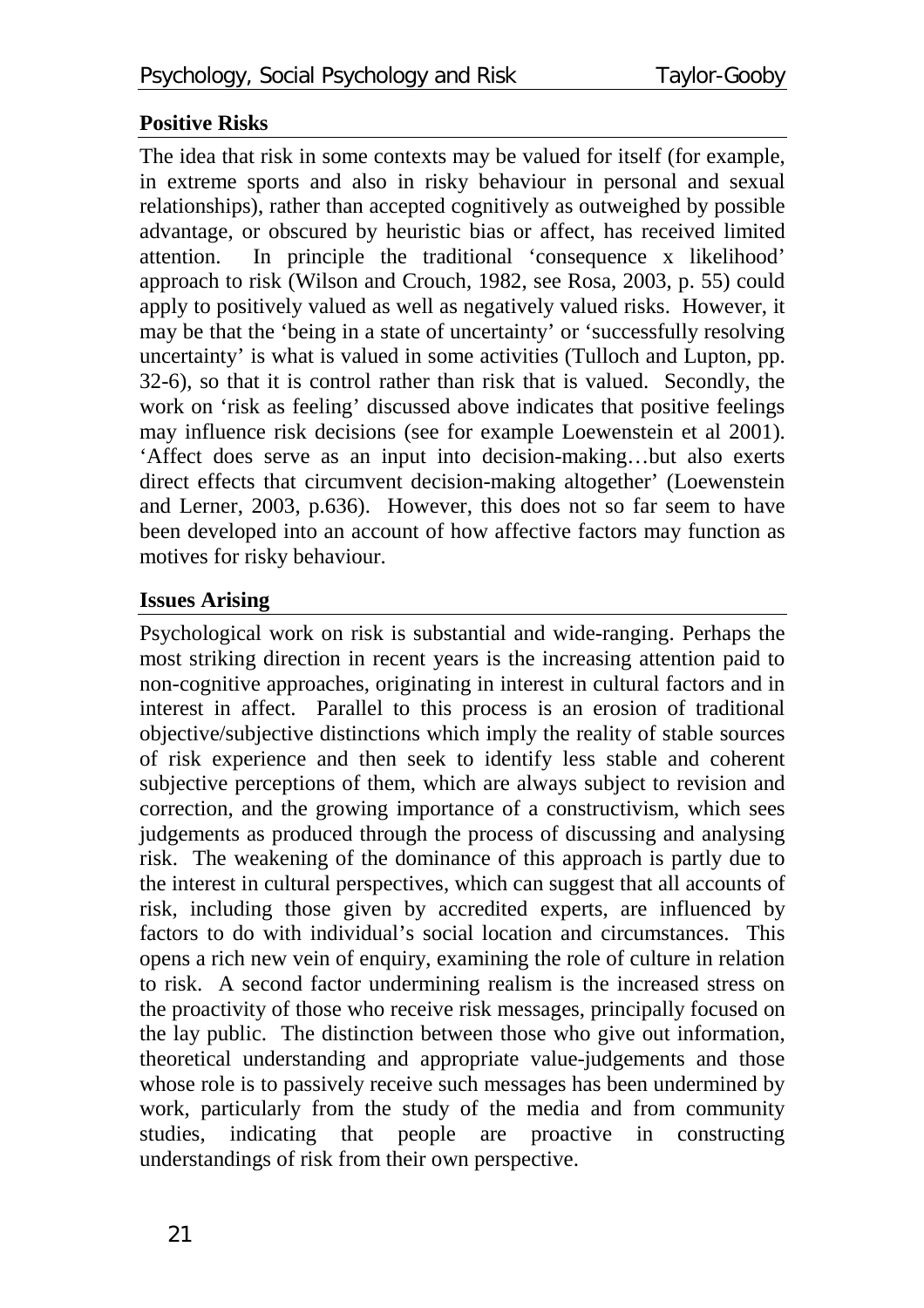### **Positive Risks**

The idea that risk in some contexts may be valued for itself (for example, in extreme sports and also in risky behaviour in personal and sexual relationships), rather than accepted cognitively as outweighed by possible advantage, or obscured by heuristic bias or affect, has received limited attention. In principle the traditional 'consequence x likelihood' approach to risk (Wilson and Crouch, 1982, see Rosa, 2003, p. 55) could apply to positively valued as well as negatively valued risks. However, it may be that the 'being in a state of uncertainty' or 'successfully resolving uncertainty' is what is valued in some activities (Tulloch and Lupton, pp. 32-6), so that it is control rather than risk that is valued. Secondly, the work on 'risk as feeling' discussed above indicates that positive feelings may influence risk decisions (see for example Loewenstein et al 2001). 'Affect does serve as an input into decision-making…but also exerts direct effects that circumvent decision-making altogether' (Loewenstein and Lerner, 2003, p.636). However, this does not so far seem to have been developed into an account of how affective factors may function as motives for risky behaviour.

#### **Issues Arising**

Psychological work on risk is substantial and wide-ranging. Perhaps the most striking direction in recent years is the increasing attention paid to non-cognitive approaches, originating in interest in cultural factors and in interest in affect. Parallel to this process is an erosion of traditional objective/subjective distinctions which imply the reality of stable sources of risk experience and then seek to identify less stable and coherent subjective perceptions of them, which are always subject to revision and correction, and the growing importance of a constructivism, which sees judgements as produced through the process of discussing and analysing risk. The weakening of the dominance of this approach is partly due to the interest in cultural perspectives, which can suggest that all accounts of risk, including those given by accredited experts, are influenced by factors to do with individual's social location and circumstances. This opens a rich new vein of enquiry, examining the role of culture in relation to risk. A second factor undermining realism is the increased stress on the proactivity of those who receive risk messages, principally focused on the lay public. The distinction between those who give out information, theoretical understanding and appropriate value-judgements and those whose role is to passively receive such messages has been undermined by work, particularly from the study of the media and from community studies, indicating that people are proactive in constructing understandings of risk from their own perspective.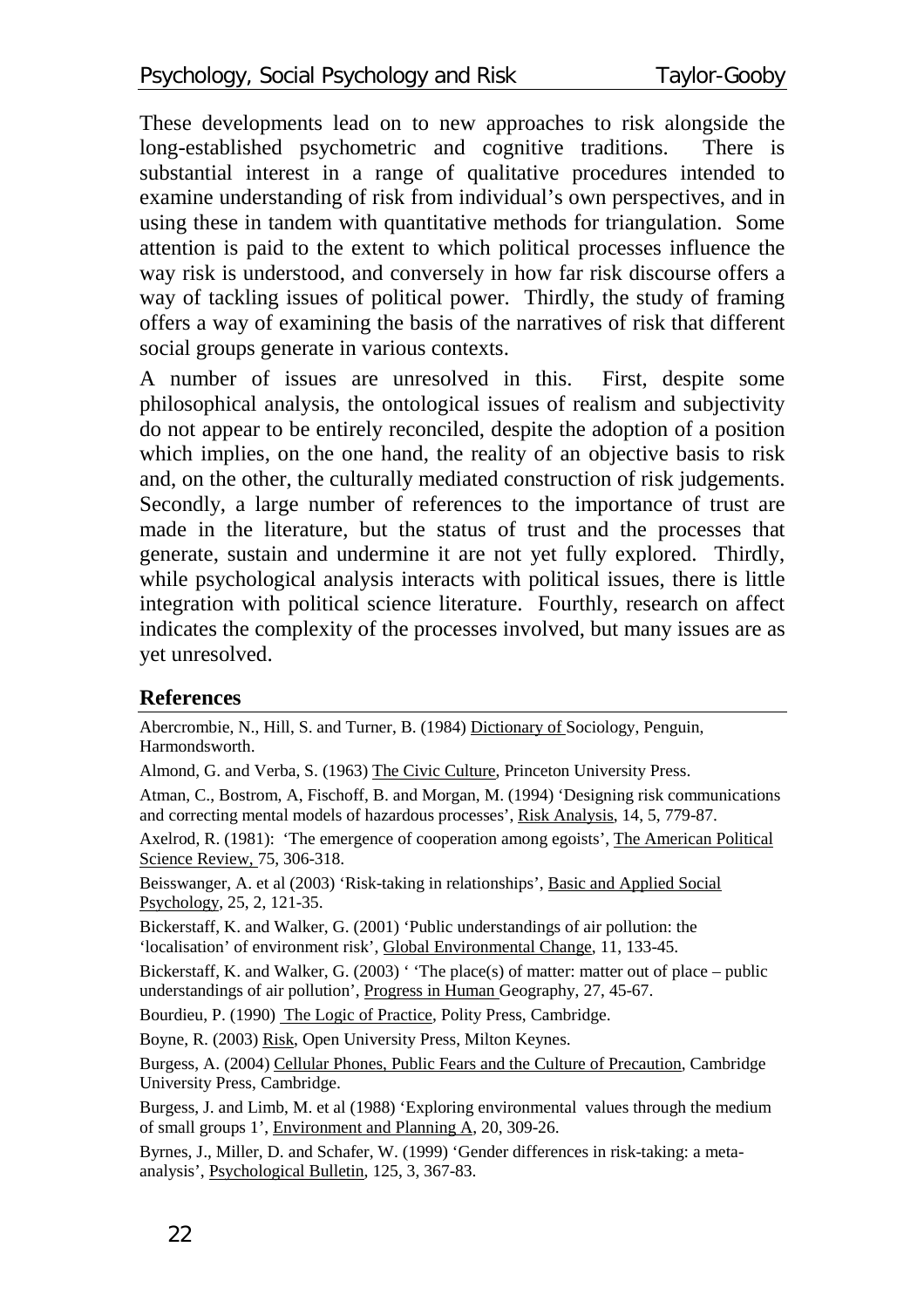These developments lead on to new approaches to risk alongside the long-established psychometric and cognitive traditions. There is substantial interest in a range of qualitative procedures intended to examine understanding of risk from individual's own perspectives, and in using these in tandem with quantitative methods for triangulation. Some attention is paid to the extent to which political processes influence the way risk is understood, and conversely in how far risk discourse offers a way of tackling issues of political power. Thirdly, the study of framing offers a way of examining the basis of the narratives of risk that different social groups generate in various contexts.

A number of issues are unresolved in this. First, despite some philosophical analysis, the ontological issues of realism and subjectivity do not appear to be entirely reconciled, despite the adoption of a position which implies, on the one hand, the reality of an objective basis to risk and, on the other, the culturally mediated construction of risk judgements. Secondly, a large number of references to the importance of trust are made in the literature, but the status of trust and the processes that generate, sustain and undermine it are not yet fully explored. Thirdly, while psychological analysis interacts with political issues, there is little integration with political science literature. Fourthly, research on affect indicates the complexity of the processes involved, but many issues are as yet unresolved.

#### **References**

Abercrombie, N., Hill, S. and Turner, B. (1984) Dictionary of Sociology, Penguin, Harmondsworth.

Almond, G. and Verba, S. (1963) The Civic Culture, Princeton University Press.

Atman, C., Bostrom, A, Fischoff, B. and Morgan, M. (1994) 'Designing risk communications and correcting mental models of hazardous processes', Risk Analysis, 14, 5, 779-87.

Axelrod, R. (1981): 'The emergence of cooperation among egoists', The American Political Science Review, 75, 306-318.

Beisswanger, A. et al (2003) 'Risk-taking in relationships', Basic and Applied Social Psychology, 25, 2, 121-35.

Bickerstaff, K. and Walker, G. (2001) 'Public understandings of air pollution: the 'localisation' of environment risk', Global Environmental Change, 11, 133-45.

Bickerstaff, K. and Walker, G. (2003)  $\cdot$  'The place(s) of matter: matter out of place – public understandings of air pollution', Progress in Human Geography, 27, 45-67.

Bourdieu, P. (1990) The Logic of Practice, Polity Press, Cambridge.

Boyne, R. (2003) Risk, Open University Press, Milton Keynes.

Burgess, A. (2004) Cellular Phones, Public Fears and the Culture of Precaution, Cambridge University Press, Cambridge.

Burgess, J. and Limb, M. et al (1988) 'Exploring environmental values through the medium of small groups 1', Environment and Planning A, 20, 309-26.

Byrnes, J., Miller, D. and Schafer, W. (1999) 'Gender differences in risk-taking: a metaanalysis', Psychological Bulletin, 125, 3, 367-83.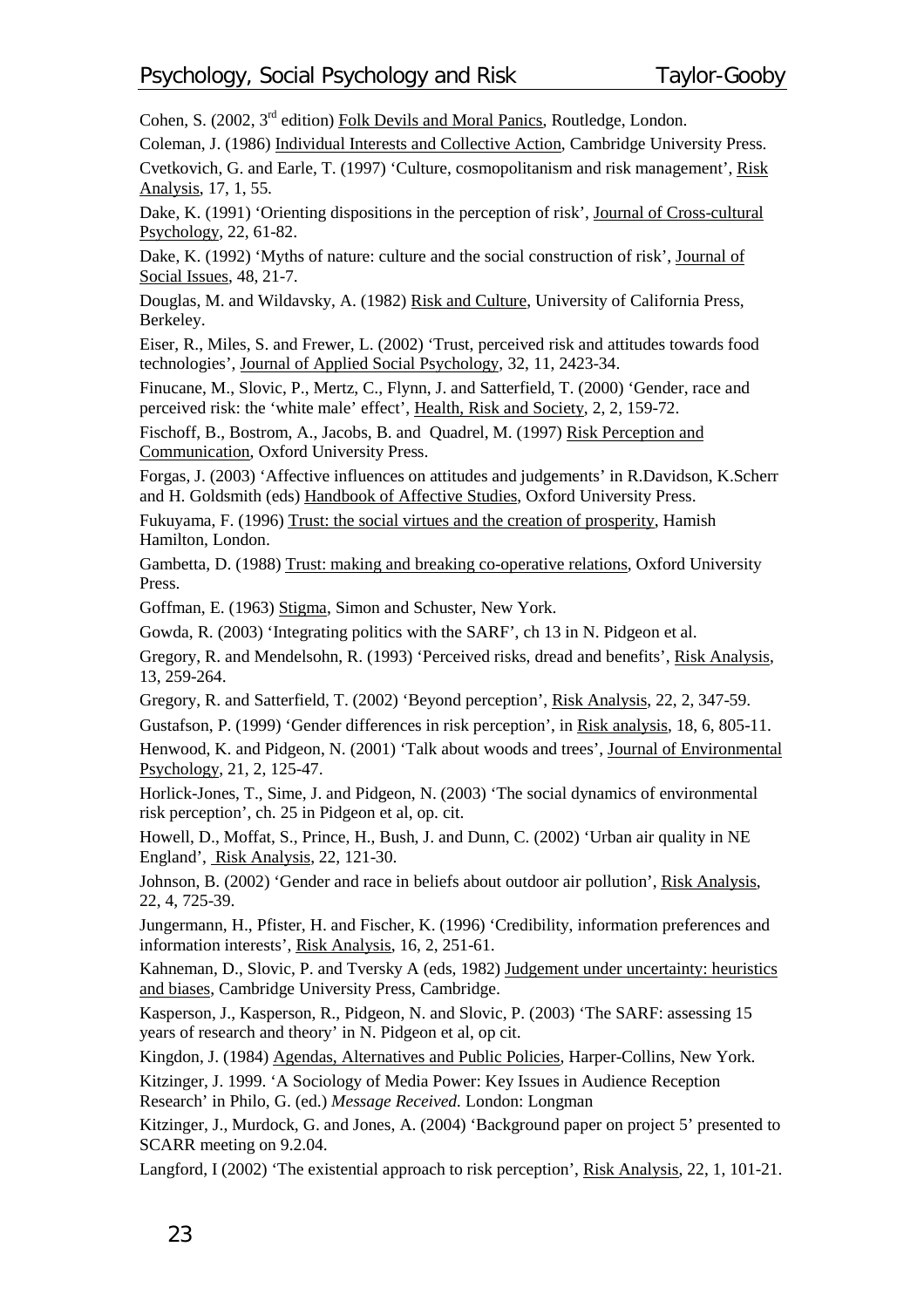Cohen, S. (2002, 3<sup>rd</sup> edition) Folk Devils and Moral Panics, Routledge, London.

Coleman, J. (1986) Individual Interests and Collective Action, Cambridge University Press.

Cvetkovich, G. and Earle, T. (1997) 'Culture, cosmopolitanism and risk management', Risk Analysis, 17, 1, 55.

Dake, K. (1991) 'Orienting dispositions in the perception of risk', Journal of Cross-cultural Psychology, 22, 61-82.

Dake, K. (1992) 'Myths of nature: culture and the social construction of risk', Journal of Social Issues, 48, 21-7.

Douglas, M. and Wildavsky, A. (1982) Risk and Culture, University of California Press, Berkeley.

Eiser, R., Miles, S. and Frewer, L. (2002) 'Trust, perceived risk and attitudes towards food technologies', Journal of Applied Social Psychology, 32, 11, 2423-34.

Finucane, M., Slovic, P., Mertz, C., Flynn, J. and Satterfield, T. (2000) 'Gender, race and perceived risk: the 'white male' effect', Health, Risk and Society, 2, 2, 159-72.

Fischoff, B., Bostrom, A., Jacobs, B. and Quadrel, M. (1997) Risk Perception and Communication, Oxford University Press.

Forgas, J. (2003) 'Affective influences on attitudes and judgements' in R.Davidson, K.Scherr and H. Goldsmith (eds) Handbook of Affective Studies, Oxford University Press.

Fukuyama, F. (1996) Trust: the social virtues and the creation of prosperity, Hamish Hamilton, London.

Gambetta, D. (1988) Trust: making and breaking co-operative relations, Oxford University Press.

Goffman, E. (1963) Stigma, Simon and Schuster, New York.

Gowda, R. (2003) 'Integrating politics with the SARF', ch 13 in N. Pidgeon et al.

Gregory, R. and Mendelsohn, R. (1993) 'Perceived risks, dread and benefits', Risk Analysis, 13, 259-264.

Gregory, R. and Satterfield, T. (2002) 'Beyond perception', Risk Analysis, 22, 2, 347-59.

Gustafson, P. (1999) 'Gender differences in risk perception', in Risk analysis, 18, 6, 805-11. Henwood, K. and Pidgeon, N. (2001) 'Talk about woods and trees', Journal of Environmental Psychology, 21, 2, 125-47.

Horlick-Jones, T., Sime, J. and Pidgeon, N. (2003) 'The social dynamics of environmental risk perception', ch. 25 in Pidgeon et al, op. cit.

Howell, D., Moffat, S., Prince, H., Bush, J. and Dunn, C. (2002) 'Urban air quality in NE England', Risk Analysis, 22, 121-30.

Johnson, B. (2002) 'Gender and race in beliefs about outdoor air pollution', Risk Analysis, 22, 4, 725-39.

Jungermann, H., Pfister, H. and Fischer, K. (1996) 'Credibility, information preferences and information interests', Risk Analysis, 16, 2, 251-61.

Kahneman, D., Slovic, P. and Tversky A (eds, 1982) Judgement under uncertainty: heuristics and biases, Cambridge University Press, Cambridge.

Kasperson, J., Kasperson, R., Pidgeon, N. and Slovic, P. (2003) 'The SARF: assessing 15 years of research and theory' in N. Pidgeon et al, op cit.

Kingdon, J. (1984) Agendas, Alternatives and Public Policies, Harper-Collins, New York.

Kitzinger, J. 1999. 'A Sociology of Media Power: Key Issues in Audience Reception Research' in Philo, G. (ed.) *Message Received.* London: Longman

Kitzinger, J., Murdock, G. and Jones, A. (2004) 'Background paper on project 5' presented to SCARR meeting on 9.2.04.

Langford, I (2002) 'The existential approach to risk perception', Risk Analysis, 22, 1, 101-21.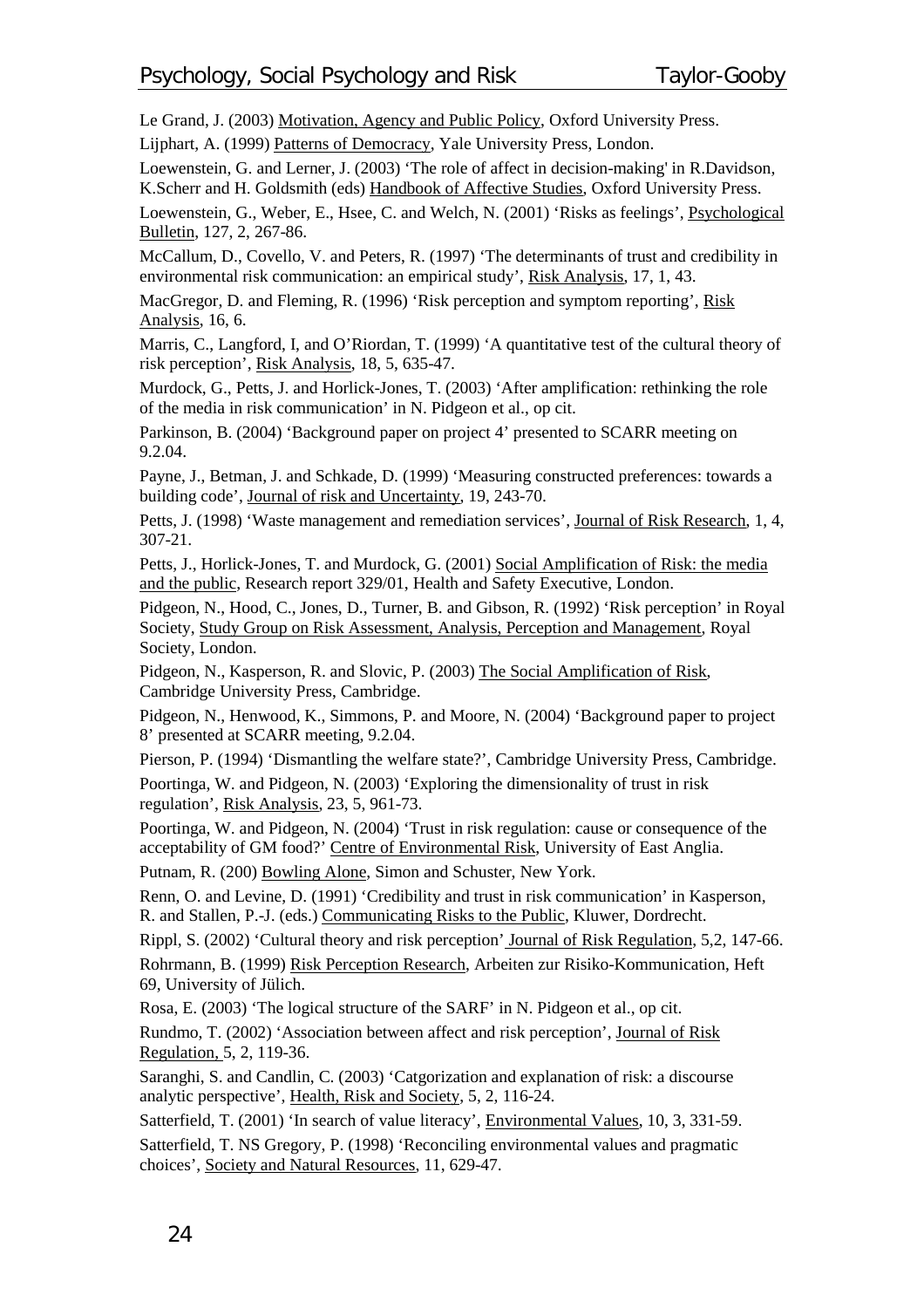Le Grand, J. (2003) Motivation, Agency and Public Policy, Oxford University Press.

Lijphart, A. (1999) Patterns of Democracy, Yale University Press, London.

Loewenstein, G. and Lerner, J. (2003) 'The role of affect in decision-making' in R.Davidson, K.Scherr and H. Goldsmith (eds) Handbook of Affective Studies, Oxford University Press.

Loewenstein, G., Weber, E., Hsee, C. and Welch, N. (2001) 'Risks as feelings', Psychological Bulletin, 127, 2, 267-86.

McCallum, D., Covello, V. and Peters, R. (1997) 'The determinants of trust and credibility in environmental risk communication: an empirical study', Risk Analysis, 17, 1, 43.

MacGregor, D. and Fleming, R. (1996) 'Risk perception and symptom reporting', Risk Analysis, 16, 6.

Marris, C., Langford, I, and O'Riordan, T. (1999) 'A quantitative test of the cultural theory of risk perception', Risk Analysis, 18, 5, 635-47.

Murdock, G., Petts, J. and Horlick-Jones, T. (2003) 'After amplification: rethinking the role of the media in risk communication' in N. Pidgeon et al., op cit.

Parkinson, B. (2004) 'Background paper on project 4' presented to SCARR meeting on 9.2.04.

Payne, J., Betman, J. and Schkade, D. (1999) 'Measuring constructed preferences: towards a building code', Journal of risk and Uncertainty, 19, 243-70.

Petts, J. (1998) 'Waste management and remediation services', Journal of Risk Research, 1, 4, 307-21.

Petts, J., Horlick-Jones, T. and Murdock, G. (2001) Social Amplification of Risk: the media and the public, Research report 329/01, Health and Safety Executive, London.

Pidgeon, N., Hood, C., Jones, D., Turner, B. and Gibson, R. (1992) 'Risk perception' in Royal Society, Study Group on Risk Assessment, Analysis, Perception and Management, Royal Society, London.

Pidgeon, N., Kasperson, R. and Slovic, P. (2003) The Social Amplification of Risk, Cambridge University Press, Cambridge.

Pidgeon, N., Henwood, K., Simmons, P. and Moore, N. (2004) 'Background paper to project 8' presented at SCARR meeting, 9.2.04.

Pierson, P. (1994) 'Dismantling the welfare state?', Cambridge University Press, Cambridge. Poortinga, W. and Pidgeon, N. (2003) 'Exploring the dimensionality of trust in risk regulation', Risk Analysis, 23, 5, 961-73.

Poortinga, W. and Pidgeon, N. (2004) 'Trust in risk regulation: cause or consequence of the acceptability of GM food?' Centre of Environmental Risk, University of East Anglia.

Putnam, R. (200) Bowling Alone, Simon and Schuster, New York.

Renn, O. and Levine, D. (1991) 'Credibility and trust in risk communication' in Kasperson, R. and Stallen, P.-J. (eds.) Communicating Risks to the Public, Kluwer, Dordrecht.

Rippl, S. (2002) 'Cultural theory and risk perception' Journal of Risk Regulation, 5,2, 147-66.

Rohrmann, B. (1999) Risk Perception Research, Arbeiten zur Risiko-Kommunication, Heft 69, University of Jülich.

Rosa, E. (2003) 'The logical structure of the SARF' in N. Pidgeon et al., op cit.

Rundmo, T. (2002) 'Association between affect and risk perception', Journal of Risk Regulation, 5, 2, 119-36.

Saranghi, S. and Candlin, C. (2003) 'Catgorization and explanation of risk: a discourse analytic perspective', Health, Risk and Society, 5, 2, 116-24.

Satterfield, T. (2001) 'In search of value literacy', Environmental Values, 10, 3, 331-59.

Satterfield, T. NS Gregory, P. (1998) 'Reconciling environmental values and pragmatic choices', Society and Natural Resources, 11, 629-47.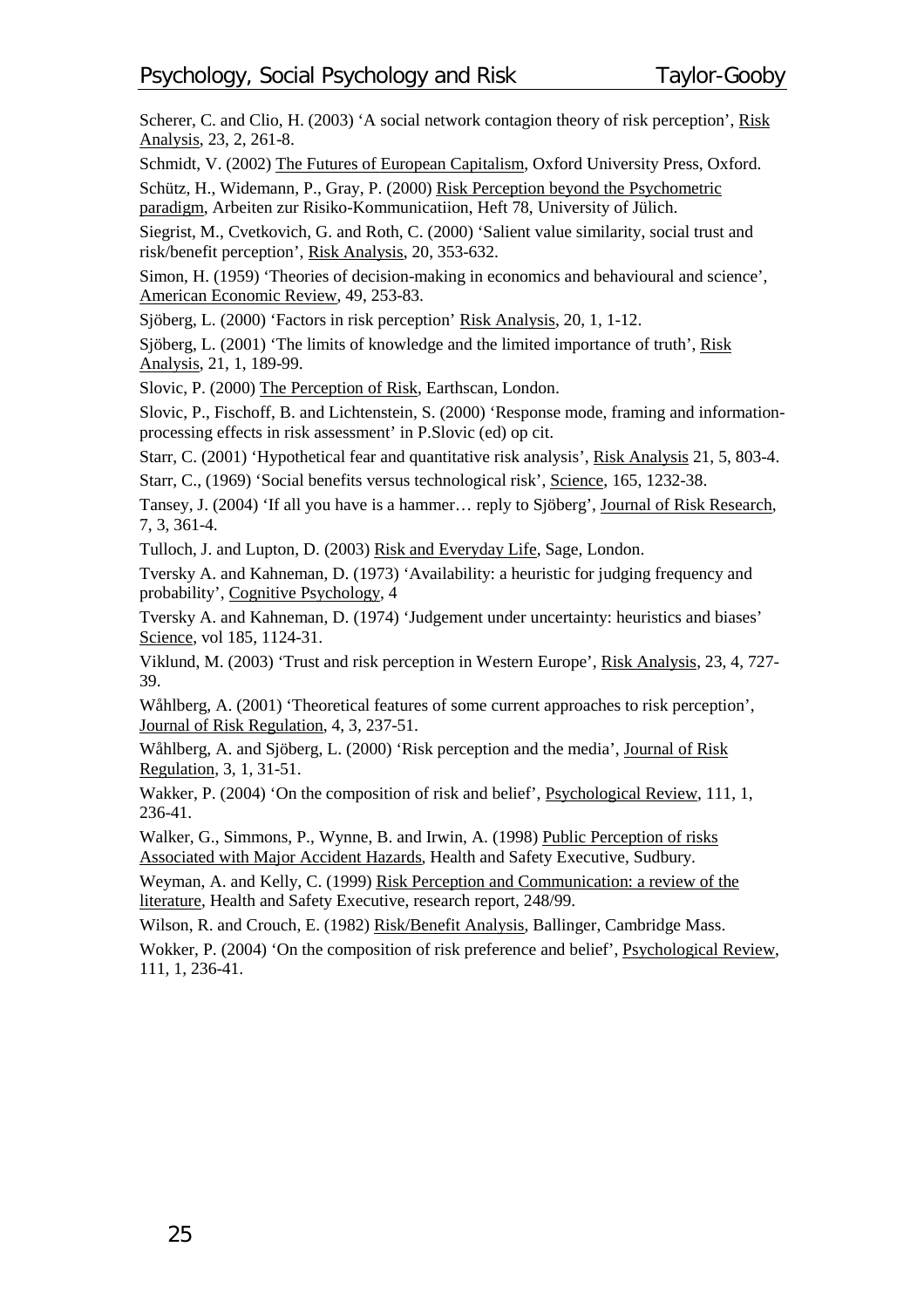Scherer, C. and Clio, H. (2003) 'A social network contagion theory of risk perception', Risk Analysis, 23, 2, 261-8.

Schmidt, V. (2002) The Futures of European Capitalism, Oxford University Press, Oxford.

Schütz, H., Widemann, P., Gray, P. (2000) Risk Perception beyond the Psychometric paradigm, Arbeiten zur Risiko-Kommunicatiion, Heft 78, University of Jülich.

Siegrist, M., Cvetkovich, G. and Roth, C. (2000) 'Salient value similarity, social trust and risk/benefit perception', Risk Analysis, 20, 353-632.

Simon, H. (1959) 'Theories of decision-making in economics and behavioural and science', American Economic Review, 49, 253-83.

Sjöberg, L. (2000) 'Factors in risk perception' Risk Analysis, 20, 1, 1-12.

Sjöberg, L. (2001) 'The limits of knowledge and the limited importance of truth', Risk Analysis, 21, 1, 189-99.

Slovic, P. (2000) The Perception of Risk, Earthscan, London.

Slovic, P., Fischoff, B. and Lichtenstein, S. (2000) 'Response mode, framing and informationprocessing effects in risk assessment' in P.Slovic (ed) op cit.

Starr, C. (2001) 'Hypothetical fear and quantitative risk analysis', Risk Analysis 21, 5, 803-4.

Starr, C., (1969) 'Social benefits versus technological risk', Science, 165, 1232-38.

Tansey, J. (2004) 'If all you have is a hammer… reply to Sjöberg', Journal of Risk Research, 7, 3, 361-4.

Tulloch, J. and Lupton, D. (2003) Risk and Everyday Life, Sage, London.

Tversky A. and Kahneman, D. (1973) 'Availability: a heuristic for judging frequency and probability', Cognitive Psychology, 4

Tversky A. and Kahneman, D. (1974) 'Judgement under uncertainty: heuristics and biases' Science, vol 185, 1124-31.

Viklund, M. (2003) 'Trust and risk perception in Western Europe', Risk Analysis, 23, 4, 727- 39.

Wåhlberg, A. (2001) 'Theoretical features of some current approaches to risk perception', Journal of Risk Regulation, 4, 3, 237-51.

Wåhlberg, A. and Sjöberg, L. (2000) 'Risk perception and the media', Journal of Risk Regulation, 3, 1, 31-51.

Wakker, P. (2004) 'On the composition of risk and belief', Psychological Review, 111, 1, 236-41.

Walker, G., Simmons, P., Wynne, B. and Irwin, A. (1998) Public Perception of risks Associated with Major Accident Hazards, Health and Safety Executive, Sudbury.

Weyman, A. and Kelly, C. (1999) Risk Perception and Communication: a review of the literature, Health and Safety Executive, research report, 248/99.

Wilson, R. and Crouch, E. (1982) Risk/Benefit Analysis, Ballinger, Cambridge Mass.

Wokker, P. (2004) 'On the composition of risk preference and belief', Psychological Review, 111, 1, 236-41.